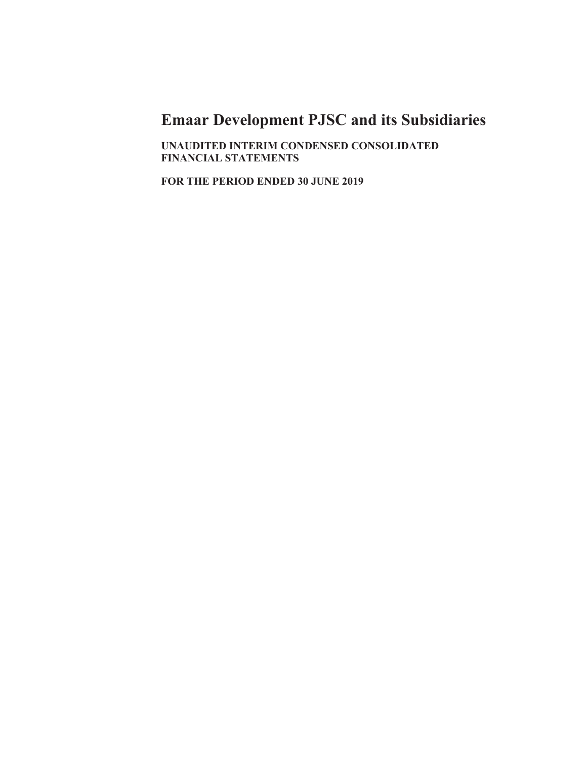UNAUDITED INTERIM CONDENSED CONSOLIDATED **FINANCIAL STATEMENTS** 

FOR THE PERIOD ENDED 30 JUNE 2019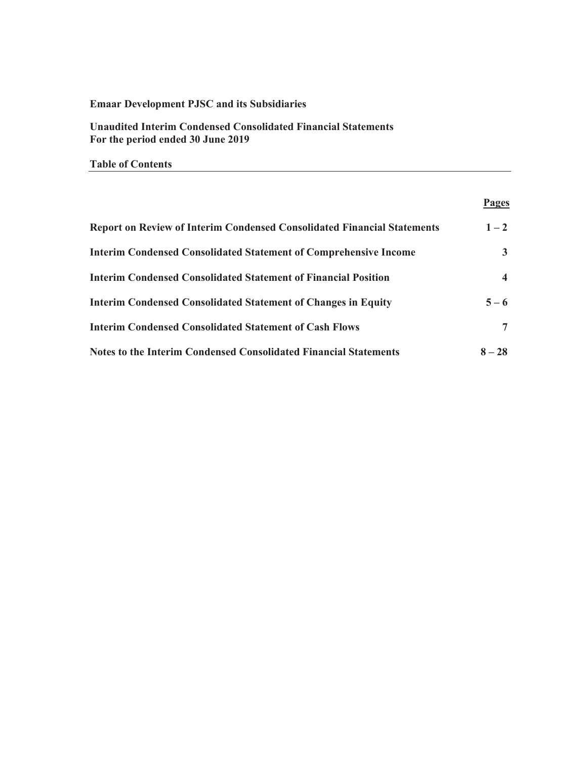**Unaudited Interim Condensed Consolidated Financial Statements** For the period ended 30 June 2019

**7able of Contents** 

### **Pages**

| <b>Report on Review of Interim Condensed Consolidated Financial Statements</b> | $1 - 2$  |
|--------------------------------------------------------------------------------|----------|
| <b>Interim Condensed Consolidated Statement of Comprehensive Income</b>        | 3        |
| <b>Interim Condensed Consolidated Statement of Financial Position</b>          | 4        |
| <b>Interim Condensed Consolidated Statement of Changes in Equity</b>           | $5 - 6$  |
| <b>Interim Condensed Consolidated Statement of Cash Flows</b>                  | 7        |
| <b>Notes to the Interim Condensed Consolidated Financial Statements</b>        | $8 - 28$ |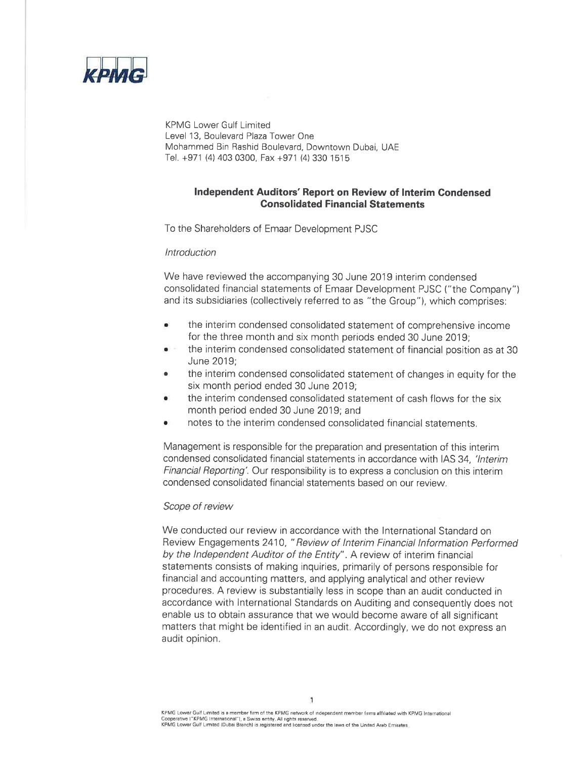

KPMG Lower Gulf Limited Level 13, Boulevard Plaza Tower One Mohammed Bin Rashid Boulevard, Downtown Dubai, UAE Tel. +971 (4) 403 0300, Fax +971 (4) 330 1515

## Independent Auditors' Report on Review of Interim Condensed **Consolidated Financial Statements**

To the Shareholders of Emaar Development PJSC

### **Introduction**

We have reviewed the accompanying 30 June 2019 interim condensed consolidated financial statements of Emaar Development PJSC ("the Company") and its subsidiaries (collectively referred to as "the Group"), which comprises:

- the interim condensed consolidated statement of comprehensive income  $\bullet$ for the three month and six month periods ended 30 June 2019;
- the interim condensed consolidated statement of financial position as at 30 June 2019:
- the interim condensed consolidated statement of changes in equity for the  $\blacksquare$ six month period ended 30 June 2019:
- the interim condensed consolidated statement of cash flows for the six month period ended 30 June 2019; and
- notes to the interim condensed consolidated financial statements.

Management is responsible for the preparation and presentation of this interim condensed consolidated financial statements in accordance with IAS 34, 'Interim *Financial Reporting'.* Our responsibility is to express a conclusion on this interim condensed consolidated financial statements based on our review.

### Scope of review

We conducted our review in accordance with the International Standard on Review Engagements 2410, "Review of Interim Financial Information Performed by the Independent Auditor of the Entity". A review of interim financial statements consists of making inquiries, primarily of persons responsible for financial and accounting matters, and applying analytical and other review procedures. A review is substantially less in scope than an audit conducted in accordance with International Standards on Auditing and consequently does not enable us to obtain assurance that we would become aware of all significant matters that might be identified in an audit. Accordingly, we do not express an audit opinion.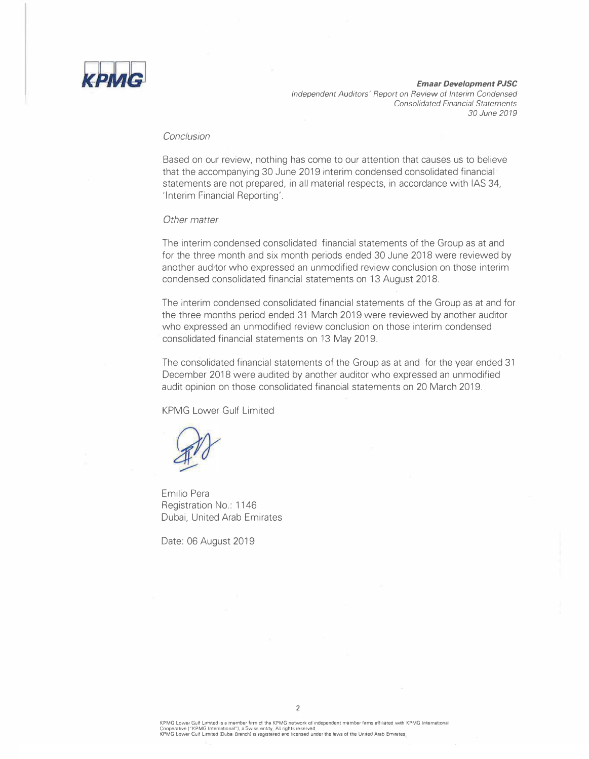

*Emaar Development PJSC Independent Auditors' Report on Review of Interim Condensed Consolidated Financial Statements 30 June 2019* 

### *Conclusion*

Based on our review, nothing has come to our attention that causes us to believe that the accompanying 30 June 2019 interim condensed consolidated financial statements are not prepared, in all material respects, in accordance with IAS 34, 'Interim Financial Reporting'.

#### *Other matter*

The interim condensed consolidated financial statements of the Group as at and for the three month and six month periods ended 30 June 2018 were reviewed by another auditor who expressed an unmodified review conclusion on those interim condensed consolidated financial statements on 13 August 2018.

The interim condensed consolidated financial statements of the Group as at and for the three months period ended 31 March 2019 were reviewed by another auditor who expressed an unmodified review conclusion on those interim condensed consolidated financial statements on 13 May 2019.

The consolidated financial statements of the Group as at and for the year ended 31 December 2018 were audited by another auditor who expressed an unmodified audit opinion on those consolidated financial statements on 20 March 2019.

KPMG Lower Gulf Limited

Emilio Pera Registration No.: 1146 Dubai, United Arab Emirates

Date: 06 August 2019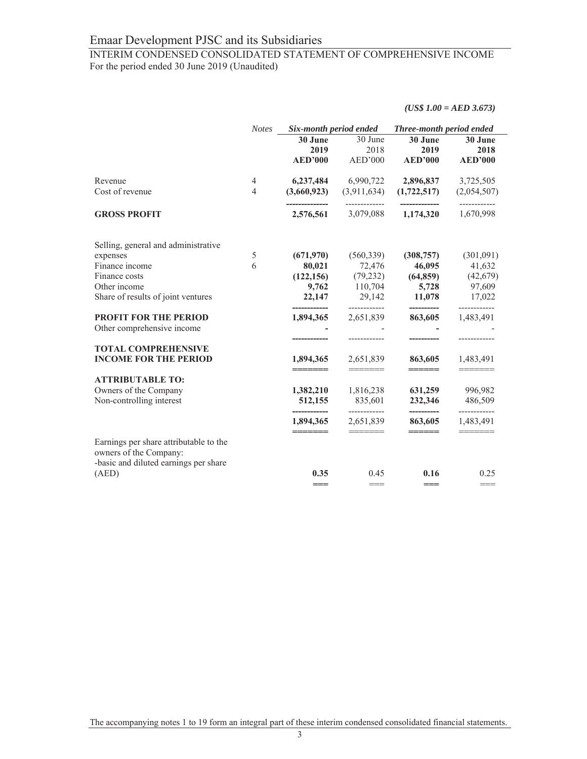# INTERIM CONDENSED CONSOLIDATED STATEMENT OF COMPREHENSIVE INCOME For the period ended 30 June 2019 (Unaudited)

*(US\$ 1.00 = AED 3.673)*

|                                                                                                           | <b>Notes</b>   | Six-month period ended     |                                                                                                                                                                                                                                                                                                                                                                                                                                                                                             | Three-month period ended                              |                           |  |
|-----------------------------------------------------------------------------------------------------------|----------------|----------------------------|---------------------------------------------------------------------------------------------------------------------------------------------------------------------------------------------------------------------------------------------------------------------------------------------------------------------------------------------------------------------------------------------------------------------------------------------------------------------------------------------|-------------------------------------------------------|---------------------------|--|
|                                                                                                           |                | 30 June                    | 30 June                                                                                                                                                                                                                                                                                                                                                                                                                                                                                     | 30 June                                               | 30 June                   |  |
|                                                                                                           |                | 2019                       | 2018                                                                                                                                                                                                                                                                                                                                                                                                                                                                                        | 2019                                                  | 2018                      |  |
|                                                                                                           |                | <b>AED'000</b>             | AED'000                                                                                                                                                                                                                                                                                                                                                                                                                                                                                     | <b>AED'000</b>                                        | <b>AED'000</b>            |  |
| Revenue                                                                                                   | 4              | 6,237,484                  | 6,990,722                                                                                                                                                                                                                                                                                                                                                                                                                                                                                   | 2,896,837                                             | 3,725,505                 |  |
| Cost of revenue                                                                                           | $\overline{4}$ | (3,660,923)                |                                                                                                                                                                                                                                                                                                                                                                                                                                                                                             | $(3,911,634)$ $(1,722,517)$                           | (2,054,507)               |  |
| <b>GROSS PROFIT</b>                                                                                       |                | --------------             | -------------                                                                                                                                                                                                                                                                                                                                                                                                                                                                               | --------------<br>2,576,561 3,079,088 1,174,320       | ------------<br>1,670,998 |  |
| Selling, general and administrative                                                                       |                |                            |                                                                                                                                                                                                                                                                                                                                                                                                                                                                                             |                                                       |                           |  |
| expenses                                                                                                  | 5              | (671,970)                  | (560, 339)                                                                                                                                                                                                                                                                                                                                                                                                                                                                                  | (308, 757)                                            | (301,091)                 |  |
| Finance income                                                                                            | 6              | 80,021                     | 72,476                                                                                                                                                                                                                                                                                                                                                                                                                                                                                      | 46,095                                                | 41,632                    |  |
| Finance costs                                                                                             |                | (122, 156)                 | (79, 232)                                                                                                                                                                                                                                                                                                                                                                                                                                                                                   | (64, 859)                                             | (42,679)                  |  |
| Other income                                                                                              |                |                            | 9,762 110,704                                                                                                                                                                                                                                                                                                                                                                                                                                                                               | 5,728                                                 | 97,609                    |  |
| Share of results of joint ventures                                                                        |                |                            | $22,147$ 29,142                                                                                                                                                                                                                                                                                                                                                                                                                                                                             | $11,078$ 17,022                                       |                           |  |
| <b>PROFIT FOR THE PERIOD</b>                                                                              |                | -------------<br>1,894,365 | -------------<br>2,651,839                                                                                                                                                                                                                                                                                                                                                                                                                                                                  | -----------<br>863,605                                | ------------<br>1,483,491 |  |
| Other comprehensive income                                                                                |                |                            |                                                                                                                                                                                                                                                                                                                                                                                                                                                                                             |                                                       |                           |  |
|                                                                                                           |                |                            | ------------                                                                                                                                                                                                                                                                                                                                                                                                                                                                                |                                                       |                           |  |
| <b>TOTAL COMPREHENSIVE</b>                                                                                |                |                            |                                                                                                                                                                                                                                                                                                                                                                                                                                                                                             |                                                       |                           |  |
| <b>INCOME FOR THE PERIOD</b>                                                                              |                | 1,894,365<br>=======       | 2,651,839<br>$\qquad \qquad \displaystyle =\qquad \qquad \qquad \qquad \displaystyle =\qquad \qquad$                                                                                                                                                                                                                                                                                                                                                                                        | 863,605<br>$\qquad \qquad \overline{\qquad \qquad }=$ | 1,483,491                 |  |
| <b>ATTRIBUTABLE TO:</b>                                                                                   |                |                            |                                                                                                                                                                                                                                                                                                                                                                                                                                                                                             |                                                       |                           |  |
| Owners of the Company                                                                                     |                | 1,382,210                  | 1,816,238                                                                                                                                                                                                                                                                                                                                                                                                                                                                                   |                                                       | 631,259 996,982           |  |
| Non-controlling interest                                                                                  |                | 512,155                    | 835,601<br>-------------                                                                                                                                                                                                                                                                                                                                                                                                                                                                    | 232,346<br>__________                                 | 486,509<br>------------   |  |
|                                                                                                           |                | 1,894,365<br>=======       | 2,651,839<br>$\begin{tabular}{ll} \multicolumn{3}{l}{{\color{blue}\textbf{1}}}\\ \multicolumn{3}{l}{\textbf{2}}\\ \multicolumn{3}{l}{\textbf{3}}\\ \multicolumn{3}{l}{\textbf{4}}\\ \multicolumn{3}{l}{\textbf{5}}\\ \multicolumn{3}{l}{\textbf{6}}\\ \multicolumn{3}{l}{\textbf{7}}\\ \multicolumn{3}{l}{\textbf{8}}\\ \multicolumn{3}{l}{\textbf{9}}\\ \multicolumn{3}{l}{\textbf{1}}\\ \multicolumn{3}{l}{\textbf{1}}\\ \multicolumn{3}{l}{\textbf{1}}\\ \multicolumn{3}{l}{\textbf{1}}$ | 863,605<br>======                                     | 1,483,491<br>=======      |  |
| Earnings per share attributable to the<br>owners of the Company:<br>-basic and diluted earnings per share |                |                            |                                                                                                                                                                                                                                                                                                                                                                                                                                                                                             |                                                       |                           |  |
| (AED)                                                                                                     |                | 0.35                       | 0.45                                                                                                                                                                                                                                                                                                                                                                                                                                                                                        | 0.16                                                  | 0.25                      |  |
|                                                                                                           |                | $==$                       | $=$ $=$                                                                                                                                                                                                                                                                                                                                                                                                                                                                                     | $== =$                                                | $==$                      |  |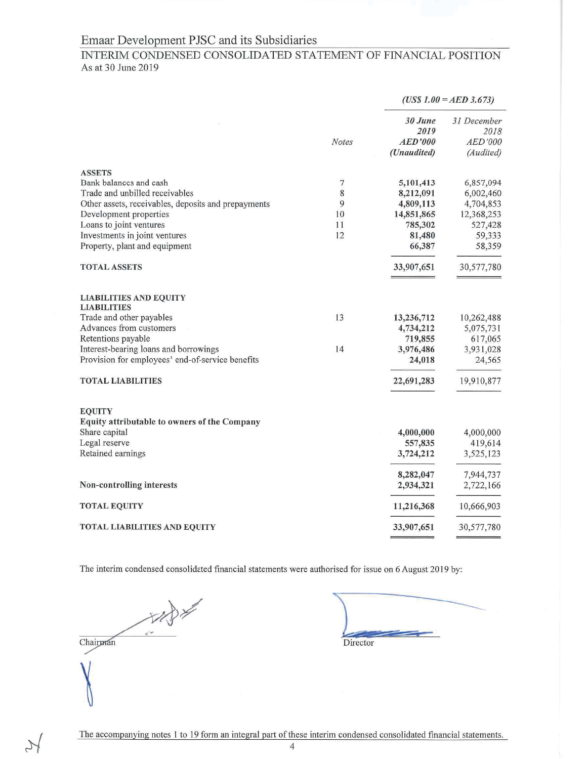# INTERIM CONDENSED CONSOLIDATED STATEMENT OF FINANCIAL POSITION As at 30 June 2019

|                                                                                                                                                                                                                                                           |                               | $(US$ 1.00 = AED 3.673)$                                                         |                                                                                  |
|-----------------------------------------------------------------------------------------------------------------------------------------------------------------------------------------------------------------------------------------------------------|-------------------------------|----------------------------------------------------------------------------------|----------------------------------------------------------------------------------|
|                                                                                                                                                                                                                                                           | <b>Notes</b>                  | 30 June<br>2019<br><b>AED'000</b><br>(Unaudited)                                 | 31 December<br>2018<br>AED'000<br>(Audited)                                      |
| <b>ASSETS</b><br>Bank balances and cash<br>Trade and unbilled receivables<br>Other assets, receivables, deposits and prepayments<br>Development properties<br>Loans to joint ventures<br>Investments in joint ventures<br>Property, plant and equipment   | 7<br>8<br>9<br>10<br>11<br>12 | 5,101,413<br>8,212,091<br>4,809,113<br>14,851,865<br>785,302<br>81,480<br>66,387 | 6,857,094<br>6,002,460<br>4,704,853<br>12,368,253<br>527,428<br>59,333<br>58,359 |
| <b>TOTAL ASSETS</b>                                                                                                                                                                                                                                       |                               | 33,907,651                                                                       | 30,577,780                                                                       |
| <b>LIABILITIES AND EQUITY</b><br><b>LIABILITIES</b><br>Trade and other payables<br>Advances from customers<br>Retentions payable<br>Interest-bearing loans and borrowings<br>Provision for employees' end-of-service benefits<br><b>TOTAL LIABILITIES</b> | 13<br>14                      | 13,236,712<br>4,734,212<br>719,855<br>3,976,486<br>24,018<br>22,691,283          | 10,262,488<br>5,075,731<br>617,065<br>3,931,028<br>24,565<br>19,910,877          |
| <b>EQUITY</b><br>Equity attributable to owners of the Company<br>Share capital<br>Legal reserve<br>Retained earnings                                                                                                                                      |                               | 4,000,000<br>557,835<br>3,724,212                                                | 4,000,000<br>419,614<br>3,525,123                                                |
| Non-controlling interests                                                                                                                                                                                                                                 |                               | 8,282,047<br>2,934,321                                                           | 7,944,737<br>2,722,166                                                           |
| <b>TOTAL EQUITY</b>                                                                                                                                                                                                                                       |                               | 11,216,368                                                                       | 10,666,903                                                                       |
| <b>TOTAL LIABILITIES AND EQUITY</b>                                                                                                                                                                                                                       |                               | 33,907,651                                                                       | 30,577,780                                                                       |

The interim condensed consolidated financial statements were authorised for issue on 6 August 2019 by:

Chairman

 $\overline{\mathcal{X}}$ 

Director

 $\overline{4}$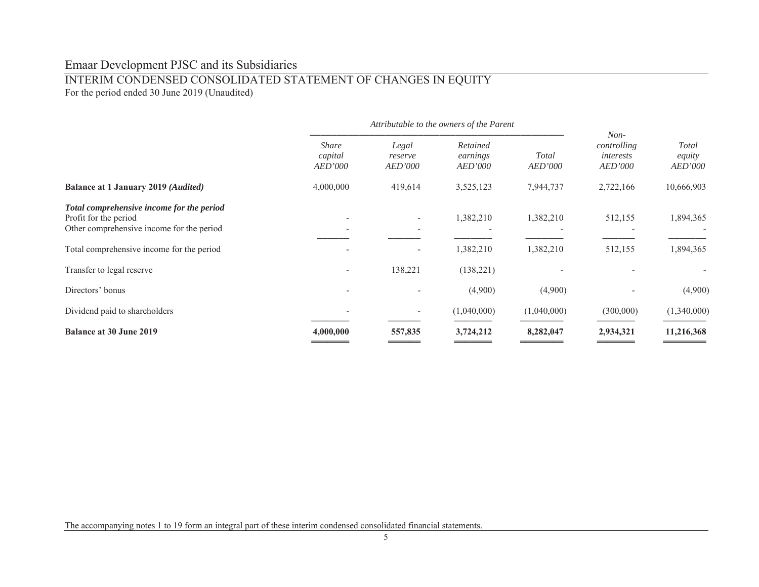# INTERIM CONDENSED CONSOLIDATED STATEMENT OF CHANGES IN EQUITY

For the period ended 30 June 2019 (Unaudited)

|                                                                                                                 | Attributable to the owners of the Parent |                             |                                        |                  |                                               |                                   |  |
|-----------------------------------------------------------------------------------------------------------------|------------------------------------------|-----------------------------|----------------------------------------|------------------|-----------------------------------------------|-----------------------------------|--|
|                                                                                                                 | <b>Share</b><br>capital<br>AED'000       | Legal<br>reserve<br>AED'000 | Retained<br>earnings<br><b>AED'000</b> | Total<br>AED'000 | $Non-$<br>controlling<br>interests<br>AED'000 | <b>Total</b><br>equity<br>AED'000 |  |
| <b>Balance at 1 January 2019 (Audited)</b>                                                                      | 4,000,000                                | 419,614                     | 3,525,123                              | 7,944,737        | 2,722,166                                     | 10,666,903                        |  |
| Total comprehensive income for the period<br>Profit for the period<br>Other comprehensive income for the period |                                          | $\overline{\phantom{a}}$    | 1,382,210                              | 1,382,210        | 512,155                                       | 1,894,365                         |  |
| Total comprehensive income for the period                                                                       |                                          |                             | 1,382,210                              | 1,382,210        | 512,155                                       | 1,894,365                         |  |
| Transfer to legal reserve                                                                                       |                                          | 138,221                     | (138, 221)                             |                  |                                               |                                   |  |
| Directors' bonus                                                                                                |                                          |                             | (4,900)                                | (4,900)          |                                               | (4,900)                           |  |
| Dividend paid to shareholders                                                                                   |                                          | $\overline{\phantom{a}}$    | (1,040,000)                            | (1,040,000)      | (300,000)                                     | (1,340,000)                       |  |
| <b>Balance at 30 June 2019</b>                                                                                  | 4,000,000                                | 557,835                     | 3,724,212                              | 8,282,047        | 2,934,321                                     | 11,216,368                        |  |

The accompanying notes 1 to 19 form an integral part of these interim condensed consolidated financial statements.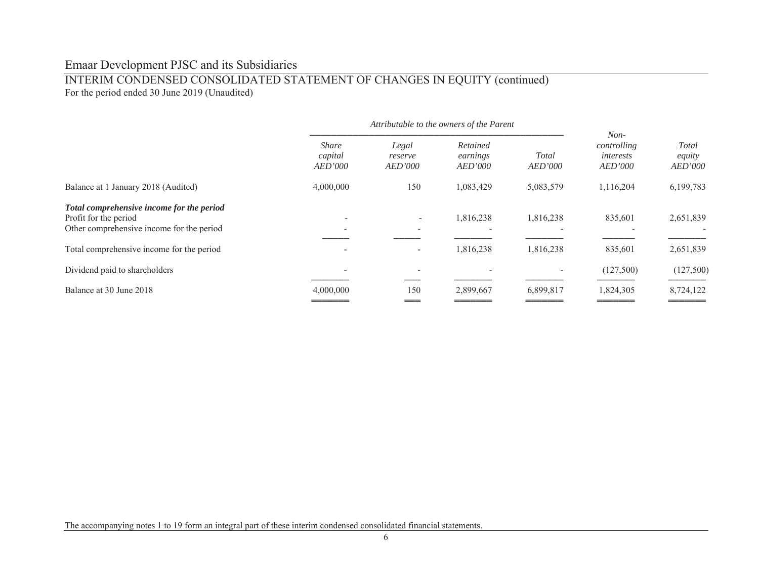# INTERIM CONDENSED CONSOLIDATED STATEMENT OF CHANGES IN EQUITY (continued) For the period ended 30 June 2019 (Unaudited)

|                                                                                                                 | <b>Share</b><br>capital<br>AED'000 | Legal<br>reserve<br><b>AED'000</b> | Retained<br>earnings<br><b>AED'000</b> | Total<br>AED'000 | $Non-$<br>controlling<br>interests<br><b>AED'000</b> | <b>Total</b><br>equity<br>AED'000 |
|-----------------------------------------------------------------------------------------------------------------|------------------------------------|------------------------------------|----------------------------------------|------------------|------------------------------------------------------|-----------------------------------|
| Balance at 1 January 2018 (Audited)                                                                             | 4,000,000                          | 150                                | 1,083,429                              | 5,083,579        | 1,116,204                                            | 6,199,783                         |
| Total comprehensive income for the period<br>Profit for the period<br>Other comprehensive income for the period |                                    | $\overline{\phantom{a}}$           | 1,816,238                              | 1,816,238        | 835,601                                              | 2,651,839                         |
| Total comprehensive income for the period                                                                       |                                    | $\overline{\phantom{a}}$           | 1,816,238                              | 1,816,238        | 835,601                                              | 2,651,839                         |
| Dividend paid to shareholders                                                                                   |                                    |                                    |                                        |                  | (127,500)                                            | (127,500)                         |
| Balance at 30 June 2018                                                                                         | 4,000,000                          | 150                                | 2,899,667                              | 6,899,817        | 1,824,305                                            | 8,724,122                         |

The accompanying notes 1 to 19 form an integral part of these interim condensed consolidated financial statements.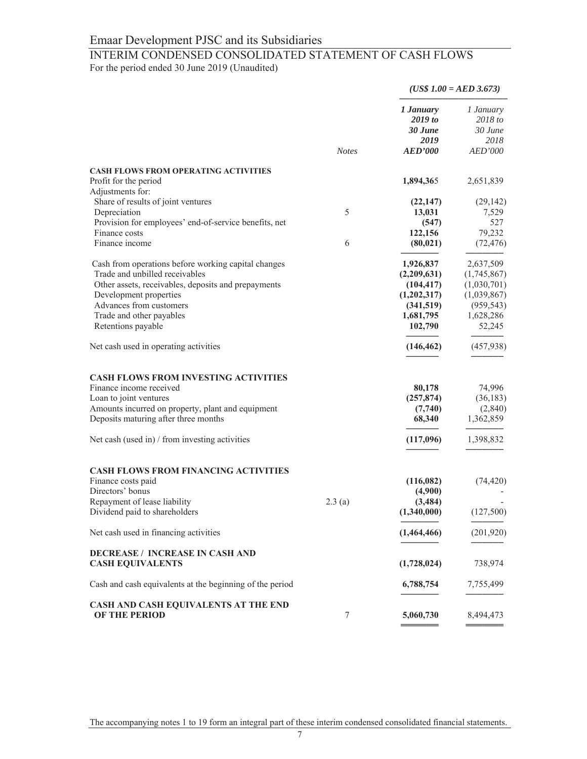# INTERIM CONDENSED CONSOLIDATED STATEMENT OF CASH FLOWS

For the period ended 30 June 2019 (Unaudited)

|                                                                                          |              |                                                    | $(US$ 1.00 = AED 3.673)$                                  |  |
|------------------------------------------------------------------------------------------|--------------|----------------------------------------------------|-----------------------------------------------------------|--|
|                                                                                          | <b>Notes</b> | 1 January<br>2019 to<br>30 June<br>2019<br>AED'000 | 1 January<br>2018 to<br>30 June<br>2018<br><i>AED'000</i> |  |
|                                                                                          |              |                                                    |                                                           |  |
| <b>CASH FLOWS FROM OPERATING ACTIVITIES</b><br>Profit for the period<br>Adjustments for: |              | 1,894,365                                          | 2,651,839                                                 |  |
| Share of results of joint ventures                                                       |              | (22, 147)                                          | (29, 142)                                                 |  |
| Depreciation                                                                             | 5            | 13,031                                             | 7,529                                                     |  |
| Provision for employees' end-of-service benefits, net                                    |              | (547)                                              | 527                                                       |  |
| Finance costs                                                                            |              | 122,156                                            | 79,232                                                    |  |
| Finance income                                                                           | 6            | (80, 021)                                          | (72, 476)                                                 |  |
| Cash from operations before working capital changes                                      |              | 1,926,837                                          | 2,637,509                                                 |  |
| Trade and unbilled receivables                                                           |              | (2,209,631)                                        | (1,745,867)                                               |  |
| Other assets, receivables, deposits and prepayments                                      |              | (104, 417)                                         | (1,030,701)                                               |  |
| Development properties                                                                   |              | (1,202,317)                                        | (1,039,867)                                               |  |
| Advances from customers                                                                  |              | (341,519)                                          | (959, 543)                                                |  |
| Trade and other payables                                                                 |              | 1,681,795                                          | 1,628,286                                                 |  |
| Retentions payable                                                                       |              | 102,790                                            | 52,245                                                    |  |
| Net cash used in operating activities                                                    |              | (146, 462)                                         | (457, 938)                                                |  |
| <b>CASH FLOWS FROM INVESTING ACTIVITIES</b>                                              |              |                                                    |                                                           |  |
| Finance income received                                                                  |              | 80,178                                             | 74,996                                                    |  |
| Loan to joint ventures                                                                   |              | (257, 874)                                         | (36, 183)                                                 |  |
| Amounts incurred on property, plant and equipment                                        |              | (7,740)                                            | (2,840)                                                   |  |
| Deposits maturing after three months                                                     |              | 68,340                                             | 1,362,859                                                 |  |
| Net cash (used in) $/$ from investing activities                                         |              | (117,096)                                          | 1,398,832                                                 |  |
| <b>CASH FLOWS FROM FINANCING ACTIVITIES</b>                                              |              |                                                    |                                                           |  |
| Finance costs paid                                                                       |              | (116,082)                                          | (74, 420)                                                 |  |
| Directors' bonus                                                                         |              | (4,900)                                            |                                                           |  |
| Repayment of lease liability                                                             | 2.3(a)       | (3,484)                                            |                                                           |  |
| Dividend paid to shareholders                                                            |              | (1,340,000)                                        | (127,500)                                                 |  |
| Net cash used in financing activities                                                    |              | (1,464,466)                                        | (201, 920)                                                |  |
| <b>DECREASE / INCREASE IN CASH AND</b>                                                   |              |                                                    |                                                           |  |
| <b>CASH EQUIVALENTS</b>                                                                  |              | (1,728,024)                                        | 738,974                                                   |  |
| Cash and cash equivalents at the beginning of the period                                 |              | 6,788,754                                          | 7,755,499                                                 |  |
| CASH AND CASH EQUIVALENTS AT THE END<br><b>OF THE PERIOD</b>                             | 7            | 5,060,730                                          | 8,494,473                                                 |  |

The accompanying notes 1 to 19 form an integral part of these interim condensed consolidated financial statements.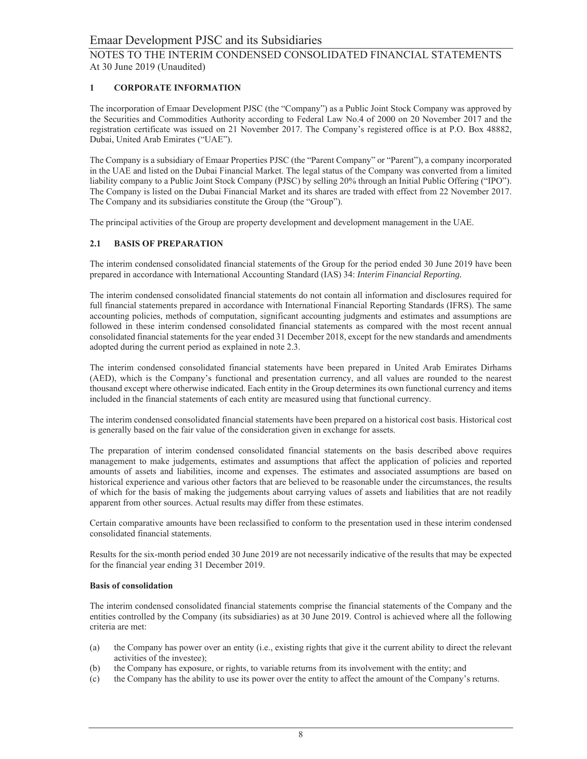#### $\mathbf{1}$ **CORPORATE INFORMATION**

The incorporation of Emaar Development PJSC (the "Company") as a Public Joint Stock Company was approved by the Securities and Commodities Authority according to Federal Law No.4 of 2000 on 20 November 2017 and the registration certificate was issued on 21 November 2017. The Company's registered office is at P.O. Box 48882, Dubai, United Arab Emirates ("UAE").

The Company is a subsidiary of Emaar Properties PJSC (the "Parent Company" or "Parent"), a company incorporated in the UAE and listed on the Dubai Financial Market. The legal status of the Company was converted from a limited liability company to a Public Joint Stock Company (PJSC) by selling 20% through an Initial Public Offering ("IPO"). The Company is listed on the Dubai Financial Market and its shares are traded with effect from 22 November 2017. The Company and its subsidiaries constitute the Group (the "Group").

The principal activities of the Group are property development and development management in the UAE.

### 2.1 BASIS OF PREPARATION

The interim condensed consolidated financial statements of the Group for the period ended 30 June 2019 have been prepared in accordance with International Accounting Standard (IAS) 34: Interim Financial Reporting.

The interim condensed consolidated financial statements do not contain all information and disclosures required for full financial statements prepared in accordance with International Financial Reporting Standards (IFRS). The same accounting policies, methods of computation, significant accounting judgments and estimates and assumptions are followed in these interim condensed consolidated financial statements as compared with the most recent annual consolidated financial statements for the year ended 31 December 2018, except for the new standards and amendments adopted during the current period as explained in note 2.3.

The interim condensed consolidated financial statements have been prepared in United Arab Emirates Dirhams (AED), which is the Company's functional and presentation currency, and all values are rounded to the nearest thousand except where otherwise indicated. Each entity in the Group determines its own functional currency and items included in the financial statements of each entity are measured using that functional currency.

The interim condensed consolidated financial statements have been prepared on a historical cost basis. Historical cost is generally based on the fair value of the consideration given in exchange for assets.

The preparation of interim condensed consolidated financial statements on the basis described above requires management to make judgements, estimates and assumptions that affect the application of policies and reported amounts of assets and liabilities, income and expenses. The estimates and associated assumptions are based on historical experience and various other factors that are believed to be reasonable under the circumstances, the results of which for the basis of making the judgements about carrying values of assets and liabilities that are not readily apparent from other sources. Actual results may differ from these estimates.

Certain comparative amounts have been reclassified to conform to the presentation used in these interim condensed consolidated financial statements.

Results for the six-month period ended 30 June 2019 are not necessarily indicative of the results that may be expected for the financial year ending 31 December 2019.

### **Basis of consolidation**

The interim condensed consolidated financial statements comprise the financial statements of the Company and the entities controlled by the Company (its subsidiaries) as at 30 June 2019. Control is achieved where all the following criteria are met:

- the Company has power over an entity (i.e., existing rights that give it the current ability to direct the relevant  $(a)$ activities of the investee);
- $(b)$ the Company has exposure, or rights, to variable returns from its involvement with the entity; and
- $(c)$ the Company has the ability to use its power over the entity to affect the amount of the Company's returns.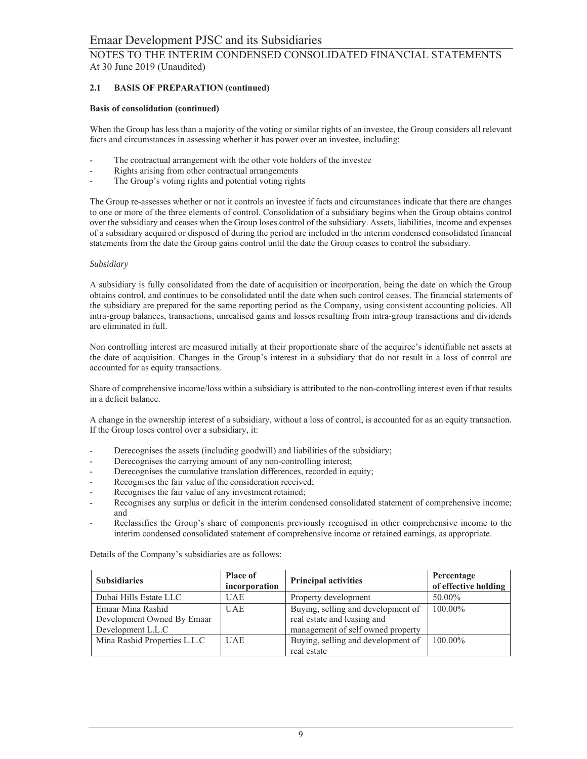#### $2.1$ **BASIS OF PREPARATION (continued)**

### **Basis of consolidation (continued)**

When the Group has less than a majority of the voting or similar rights of an investee, the Group considers all relevant facts and circumstances in assessing whether it has power over an investee, including:

- The contractual arrangement with the other vote holders of the investee
- Rights arising from other contractual arrangements
- The Group's voting rights and potential voting rights

The Group re-assesses whether or not it controls an investee if facts and circumstances indicate that there are changes to one or more of the three elements of control. Consolidation of a subsidiary begins when the Group obtains control over the subsidiary and ceases when the Group loses control of the subsidiary. Assets, liabilities, income and expenses of a subsidiary acquired or disposed of during the period are included in the interim condensed consolidated financial statements from the date the Group gains control until the date the Group ceases to control the subsidiary.

### Subsidiary

A subsidiary is fully consolidated from the date of acquisition or incorporation, being the date on which the Group obtains control, and continues to be consolidated until the date when such control ceases. The financial statements of the subsidiary are prepared for the same reporting period as the Company, using consistent accounting policies. All intra-group balances, transactions, unrealised gains and losses resulting from intra-group transactions and dividends are eliminated in full.

Non controlling interest are measured initially at their proportionate share of the acquiree's identifiable net assets at the date of acquisition. Changes in the Group's interest in a subsidiary that do not result in a loss of control are accounted for as equity transactions.

Share of comprehensive income/loss within a subsidiary is attributed to the non-controlling interest even if that results in a deficit balance.

A change in the ownership interest of a subsidiary, without a loss of control, is accounted for as an equity transaction. If the Group loses control over a subsidiary, it:

- Derecognises the assets (including goodwill) and liabilities of the subsidiary;  $\overline{a}$
- Derecognises the carrying amount of any non-controlling interest;
- Derecognises the cumulative translation differences, recorded in equity;
- Recognises the fair value of the consideration received;
- Recognises the fair value of any investment retained;
- Recognises any surplus or deficit in the interim condensed consolidated statement of comprehensive income; and
- Reclassifies the Group's share of components previously recognised in other comprehensive income to the interim condensed consolidated statement of comprehensive income or retained earnings, as appropriate.

| <b>Subsidiaries</b>          | <b>Place of</b><br>incorporation | <b>Principal activities</b>        | Percentage<br>of effective holding |
|------------------------------|----------------------------------|------------------------------------|------------------------------------|
| Dubai Hills Estate LLC       | <b>UAE</b>                       | Property development               | 50.00%                             |
| Emaar Mina Rashid            | <b>UAE</b>                       | Buying, selling and development of | 100.00%                            |
| Development Owned By Emaar   |                                  | real estate and leasing and        |                                    |
| Development L.L.C            |                                  | management of self owned property  |                                    |
| Mina Rashid Properties L.L.C | <b>UAE</b>                       | Buying, selling and development of | $100.00\%$                         |
|                              |                                  | real estate                        |                                    |

Details of the Company's subsidiaries are as follows: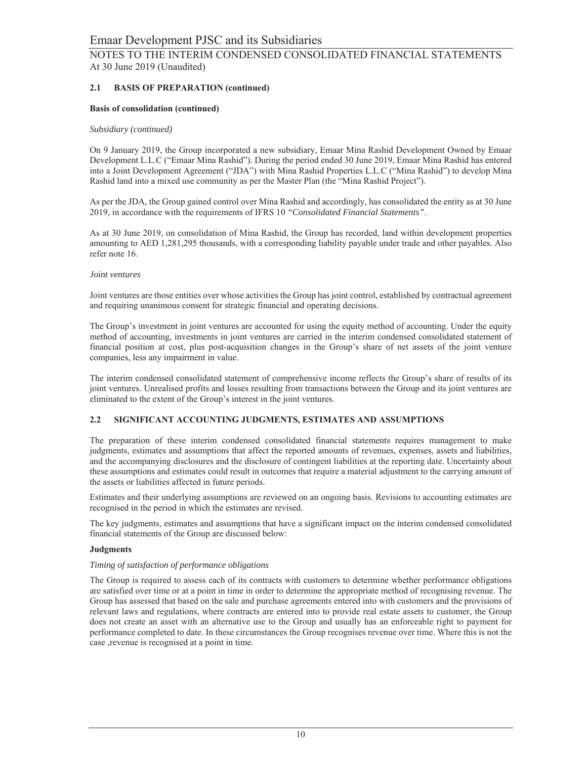#### $2.1$ **BASIS OF PREPARATION (continued)**

### **Basis of consolidation (continued)**

### Subsidiary (continued)

On 9 January 2019, the Group incorporated a new subsidiary, Emaar Mina Rashid Development Owned by Emaar Development L.L.C ("Emaar Mina Rashid"). During the period ended 30 June 2019, Emaar Mina Rashid has entered into a Joint Development Agreement ("JDA") with Mina Rashid Properties L.L.C ("Mina Rashid") to develop Mina Rashid land into a mixed use community as per the Master Plan (the "Mina Rashid Project").

As per the JDA, the Group gained control over Mina Rashid and accordingly, has consolidated the entity as at 30 June 2019, in accordance with the requirements of IFRS 10 "Consolidated Financial Statements".

As at 30 June 2019, on consolidation of Mina Rashid, the Group has recorded, land within development properties amounting to AED 1,281,295 thousands, with a corresponding liability payable under trade and other payables. Also refer note 16.

### Joint ventures

Joint ventures are those entities over whose activities the Group has joint control, established by contractual agreement and requiring unanimous consent for strategic financial and operating decisions.

The Group's investment in joint ventures are accounted for using the equity method of accounting. Under the equity method of accounting, investments in joint ventures are carried in the interim condensed consolidated statement of financial position at cost, plus post-acquisition changes in the Group's share of net assets of the joint venture companies, less any impairment in value.

The interim condensed consolidated statement of comprehensive income reflects the Group's share of results of its joint ventures. Unrealised profits and losses resulting from transactions between the Group and its joint ventures are eliminated to the extent of the Group's interest in the joint ventures.

#### $2.2^{\circ}$ SIGNIFICANT ACCOUNTING JUDGMENTS, ESTIMATES AND ASSUMPTIONS

The preparation of these interim condensed consolidated financial statements requires management to make judgments, estimates and assumptions that affect the reported amounts of revenues, expenses, assets and liabilities, and the accompanying disclosures and the disclosure of contingent liabilities at the reporting date. Uncertainty about these assumptions and estimates could result in outcomes that require a material adjustment to the carrying amount of the assets or liabilities affected in future periods.

Estimates and their underlying assumptions are reviewed on an ongoing basis. Revisions to accounting estimates are recognised in the period in which the estimates are revised.

The key judgments, estimates and assumptions that have a significant impact on the interim condensed consolidated financial statements of the Group are discussed below:

### **Judgments**

### Timing of satisfaction of performance obligations

The Group is required to assess each of its contracts with customers to determine whether performance obligations are satisfied over time or at a point in time in order to determine the appropriate method of recognising revenue. The Group has assessed that based on the sale and purchase agreements entered into with customers and the provisions of relevant laws and regulations, where contracts are entered into to provide real estate assets to customer, the Group does not create an asset with an alternative use to the Group and usually has an enforceable right to payment for performance completed to date. In these circumstances the Group recognises revenue over time. Where this is not the case , revenue is recognised at a point in time.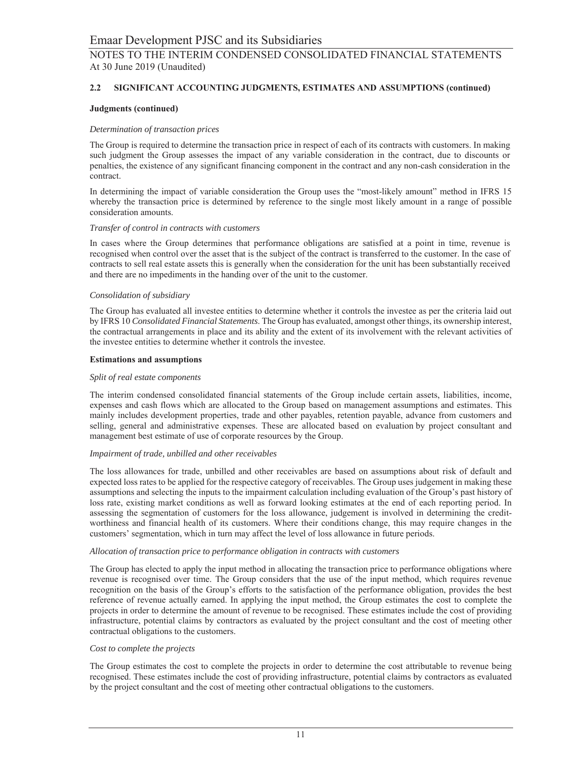#### $2.2$ SIGNIFICANT ACCOUNTING JUDGMENTS, ESTIMATES AND ASSUMPTIONS (continued)

### **Judgments (continued)**

### Determination of transaction prices

The Group is required to determine the transaction price in respect of each of its contracts with customers. In making such judgment the Group assesses the impact of any variable consideration in the contract, due to discounts or penalties, the existence of any significant financing component in the contract and any non-cash consideration in the contract.

In determining the impact of variable consideration the Group uses the "most-likely amount" method in IFRS 15 whereby the transaction price is determined by reference to the single most likely amount in a range of possible consideration amounts.

#### Transfer of control in contracts with customers

In cases where the Group determines that performance obligations are satisfied at a point in time, revenue is recognised when control over the asset that is the subject of the contract is transferred to the customer. In the case of contracts to sell real estate assets this is generally when the consideration for the unit has been substantially received and there are no impediments in the handing over of the unit to the customer.

### Consolidation of subsidiary

The Group has evaluated all investee entities to determine whether it controls the investee as per the criteria laid out by IFRS 10 Consolidated Financial Statements. The Group has evaluated, amongst other things, its ownership interest, the contractual arrangements in place and its ability and the extent of its involvement with the relevant activities of the investee entities to determine whether it controls the investee.

#### **Estimations and assumptions**

### Split of real estate components

The interim condensed consolidated financial statements of the Group include certain assets, liabilities, income, expenses and cash flows which are allocated to the Group based on management assumptions and estimates. This mainly includes development properties, trade and other payables, retention payable, advance from customers and selling, general and administrative expenses. These are allocated based on evaluation by project consultant and management best estimate of use of corporate resources by the Group.

#### Impairment of trade, unbilled and other receivables

The loss allowances for trade, unbilled and other receivables are based on assumptions about risk of default and expected loss rates to be applied for the respective category of receivables. The Group uses judgement in making these assumptions and selecting the inputs to the impairment calculation including evaluation of the Group's past history of loss rate, existing market conditions as well as forward looking estimates at the end of each reporting period. In assessing the segmentation of customers for the loss allowance, judgement is involved in determining the creditworthiness and financial health of its customers. Where their conditions change, this may require changes in the customers' segmentation, which in turn may affect the level of loss allowance in future periods.

#### Allocation of transaction price to performance obligation in contracts with customers

The Group has elected to apply the input method in allocating the transaction price to performance obligations where revenue is recognised over time. The Group considers that the use of the input method, which requires revenue recognition on the basis of the Group's efforts to the satisfaction of the performance obligation, provides the best reference of revenue actually earned. In applying the input method, the Group estimates the cost to complete the projects in order to determine the amount of revenue to be recognised. These estimates include the cost of providing infrastructure, potential claims by contractors as evaluated by the project consultant and the cost of meeting other contractual obligations to the customers.

### Cost to complete the projects

The Group estimates the cost to complete the projects in order to determine the cost attributable to revenue being recognised. These estimates include the cost of providing infrastructure, potential claims by contractors as evaluated by the project consultant and the cost of meeting other contractual obligations to the customers.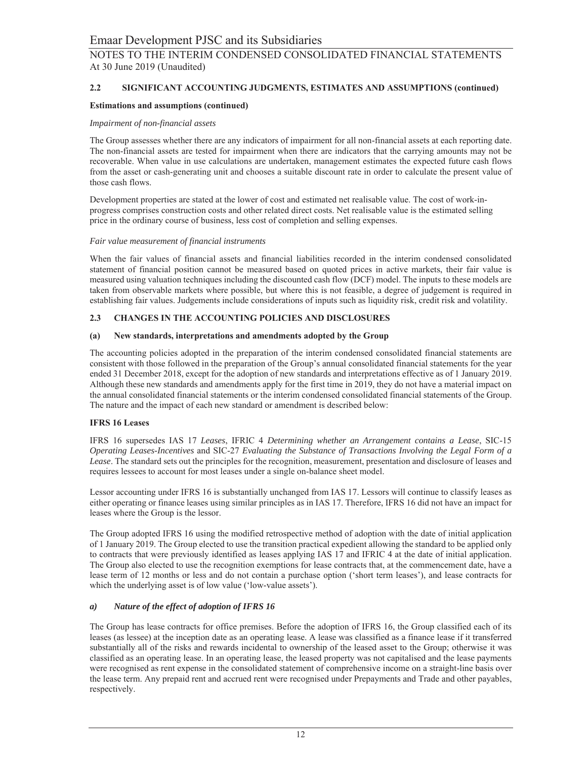#### $2.2$ SIGNIFICANT ACCOUNTING JUDGMENTS, ESTIMATES AND ASSUMPTIONS (continued)

### **Estimations and assumptions (continued)**

#### Impairment of non-financial assets

The Group assesses whether there are any indicators of impairment for all non-financial assets at each reporting date. The non-financial assets are tested for impairment when there are indicators that the carrying amounts may not be recoverable. When value in use calculations are undertaken, management estimates the expected future cash flows from the asset or cash-generating unit and chooses a suitable discount rate in order to calculate the present value of those cash flows.

Development properties are stated at the lower of cost and estimated net realisable value. The cost of work-inprogress comprises construction costs and other related direct costs. Net realisable value is the estimated selling price in the ordinary course of business, less cost of completion and selling expenses.

#### Fair value measurement of financial instruments

When the fair values of financial assets and financial liabilities recorded in the interim condensed consolidated statement of financial position cannot be measured based on quoted prices in active markets, their fair value is measured using valuation techniques including the discounted cash flow (DCF) model. The inputs to these models are taken from observable markets where possible, but where this is not feasible, a degree of judgement is required in establishing fair values. Judgements include considerations of inputs such as liquidity risk, credit risk and volatility.

#### CHANGES IN THE ACCOUNTING POLICIES AND DISCLOSURES 2.3

#### $(a)$ New standards, interpretations and amendments adopted by the Group

The accounting policies adopted in the preparation of the interim condensed consolidated financial statements are consistent with those followed in the preparation of the Group's annual consolidated financial statements for the year ended 31 December 2018, except for the adoption of new standards and interpretations effective as of 1 January 2019. Although these new standards and amendments apply for the first time in 2019, they do not have a material impact on the annual consolidated financial statements or the interim condensed consolidated financial statements of the Group. The nature and the impact of each new standard or amendment is described below:

### **IFRS 16 Leases**

IFRS 16 supersedes IAS 17 Leases, IFRIC 4 Determining whether an Arrangement contains a Lease, SIC-15 Operating Leases-Incentives and SIC-27 Evaluating the Substance of Transactions Involving the Legal Form of a Lease. The standard sets out the principles for the recognition, measurement, presentation and disclosure of leases and requires lessees to account for most leases under a single on-balance sheet model.

Lessor accounting under IFRS 16 is substantially unchanged from IAS 17. Lessors will continue to classify leases as either operating or finance leases using similar principles as in IAS 17. Therefore, IFRS 16 did not have an impact for leases where the Group is the lessor.

The Group adopted IFRS 16 using the modified retrospective method of adoption with the date of initial application of 1 January 2019. The Group elected to use the transition practical expedient allowing the standard to be applied only to contracts that were previously identified as leases applying IAS 17 and IFRIC 4 at the date of initial application. The Group also elected to use the recognition exemptions for lease contracts that, at the commencement date, have a lease term of 12 months or less and do not contain a purchase option ('short term leases'), and lease contracts for which the underlying asset is of low value ('low-value assets').

#### $\boldsymbol{a}$ Nature of the effect of adoption of IFRS 16

The Group has lease contracts for office premises. Before the adoption of IFRS 16, the Group classified each of its leases (as lessee) at the inception date as an operating lease. A lease was classified as a finance lease if it transferred substantially all of the risks and rewards incidental to ownership of the leased asset to the Group; otherwise it was classified as an operating lease. In an operating lease, the leased property was not capitalised and the lease payments were recognised as rent expense in the consolidated statement of comprehensive income on a straight-line basis over the lease term. Any prepaid rent and accrued rent were recognised under Prepayments and Trade and other payables, respectively.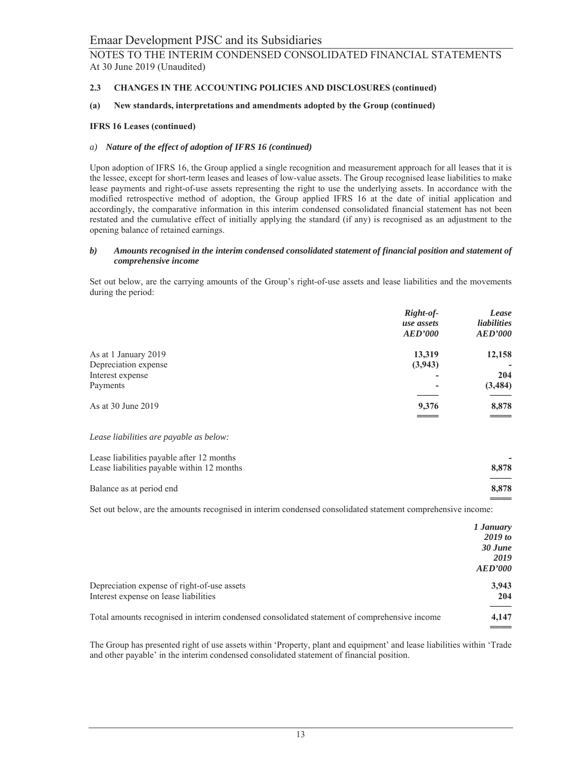#### $2.3$ CHANGES IN THE ACCOUNTING POLICIES AND DISCLOSURES (continued)

#### New standards, interpretations and amendments adopted by the Group (continued)  $(a)$

### **IFRS 16 Leases (continued)**

### a) Nature of the effect of adoption of IFRS 16 (continued)

Upon adoption of IFRS 16, the Group applied a single recognition and measurement approach for all leases that it is the lessee, except for short-term leases and leases of low-value assets. The Group recognised lease liabilities to make lease payments and right-of-use assets representing the right to use the underlying assets. In accordance with the modified retrospective method of adoption, the Group applied IFRS 16 at the date of initial application and accordingly, the comparative information in this interim condensed consolidated financial statement has not been restated and the cumulative effect of initially applying the standard (if any) is recognised as an adjustment to the opening balance of retained earnings.

#### *b*) Amounts recognised in the interim condensed consolidated statement of financial position and statement of comprehensive income

Set out below, are the carrying amounts of the Group's right-of-use assets and lease liabilities and the movements during the period:

|                      | Right-of-  | Lease              |
|----------------------|------------|--------------------|
|                      | use assets | <i>liabilities</i> |
|                      | AED'000    | <b>AED'000</b>     |
| As at 1 January 2019 | 13,319     | 12,158             |
| Depreciation expense | (3,943)    | -                  |
| Interest expense     | -          | 204                |
| Payments             | -          | (3, 484)           |
|                      |            |                    |
| As at 30 June 2019   | 9,376      | 8,878              |
|                      | ====       | =====              |

Lease liabilities are payable as below:

| Lease liabilities payable after 12 months  |                                         |
|--------------------------------------------|-----------------------------------------|
| Lease liabilities payable within 12 months | 8.878                                   |
| Balance as at period end                   | $\overbrace{\hspace{25mm}}^{}$<br>8.878 |
|                                            |                                         |

Set out below, are the amounts recognised in interim condensed consolidated statement comprehensive income:

|                                                                                              | 1 January<br>2019 to   |
|----------------------------------------------------------------------------------------------|------------------------|
|                                                                                              | $30$ June              |
|                                                                                              | 2019<br><b>AED'000</b> |
| Depreciation expense of right-of-use assets                                                  | 3,943                  |
| Interest expense on lease liabilities                                                        | 204                    |
| Total amounts recognised in interim condensed consolidated statement of comprehensive income | 4,147                  |

The Group has presented right of use assets within 'Property, plant and equipment' and lease liabilities within 'Trade and other payable' in the interim condensed consolidated statement of financial position.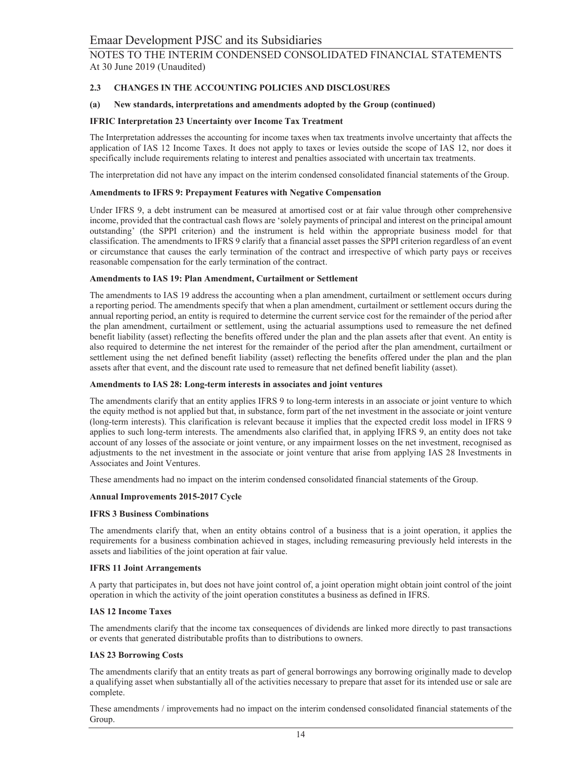#### $2.3$ CHANGES IN THE ACCOUNTING POLICIES AND DISCLOSURES

#### New standards, interpretations and amendments adopted by the Group (continued)  $(a)$

#### **IFRIC Interpretation 23 Uncertainty over Income Tax Treatment**

The Interpretation addresses the accounting for income taxes when tax treatments involve uncertainty that affects the application of IAS 12 Income Taxes. It does not apply to taxes or levies outside the scope of IAS 12, nor does it specifically include requirements relating to interest and penalties associated with uncertain tax treatments.

The interpretation did not have any impact on the interim condensed consolidated financial statements of the Group.

#### **Amendments to IFRS 9: Prepayment Features with Negative Compensation**

Under IFRS 9, a debt instrument can be measured at amortised cost or at fair value through other comprehensive income, provided that the contractual cash flows are 'solely payments of principal and interest on the principal amount outstanding' (the SPPI criterion) and the instrument is held within the appropriate business model for that classification. The amendments to IFRS 9 clarify that a financial asset passes the SPPI criterion regardless of an event or circumstance that causes the early termination of the contract and irrespective of which party pays or receives reasonable compensation for the early termination of the contract.

#### Amendments to IAS 19: Plan Amendment, Curtailment or Settlement

The amendments to IAS 19 address the accounting when a plan amendment, curtailment or settlement occurs during a reporting period. The amendments specify that when a plan amendment, curtailment or settlement occurs during the annual reporting period, an entity is required to determine the current service cost for the remainder of the period after the plan amendment, curtailment or settlement, using the actuarial assumptions used to remeasure the net defined benefit liability (asset) reflecting the benefits offered under the plan and the plan assets after that event. An entity is also required to determine the net interest for the remainder of the period after the plan amendment, curtailment or settlement using the net defined benefit liability (asset) reflecting the benefits offered under the plan and the plan assets after that event, and the discount rate used to remeasure that net defined benefit liability (asset).

#### Amendments to IAS 28: Long-term interests in associates and joint ventures

The amendments clarify that an entity applies IFRS 9 to long-term interests in an associate or joint venture to which the equity method is not applied but that, in substance, form part of the net investment in the associate or joint venture (long-term interests). This clarification is relevant because it implies that the expected credit loss model in IFRS 9 applies to such long-term interests. The amendments also clarified that, in applying IFRS 9, an entity does not take account of any losses of the associate or joint venture, or any impairment losses on the net investment, recognised as adjustments to the net investment in the associate or joint venture that arise from applying IAS 28 Investments in Associates and Joint Ventures.

These amendments had no impact on the interim condensed consolidated financial statements of the Group.

#### **Annual Improvements 2015-2017 Cycle**

#### **IFRS 3 Business Combinations**

The amendments clarify that, when an entity obtains control of a business that is a joint operation, it applies the requirements for a business combination achieved in stages, including remeasuring previously held interests in the assets and liabilities of the joint operation at fair value.

#### **IFRS 11 Joint Arrangements**

A party that participates in, but does not have joint control of, a joint operation might obtain joint control of the joint operation in which the activity of the joint operation constitutes a business as defined in IFRS.

### **IAS 12 Income Taxes**

The amendments clarify that the income tax consequences of dividends are linked more directly to past transactions or events that generated distributable profits than to distributions to owners.

### **IAS 23 Borrowing Costs**

The amendments clarify that an entity treats as part of general borrowings any borrowing originally made to develop a qualifying asset when substantially all of the activities necessary to prepare that asset for its intended use or sale are complete.

These amendments / improvements had no impact on the interim condensed consolidated financial statements of the Group.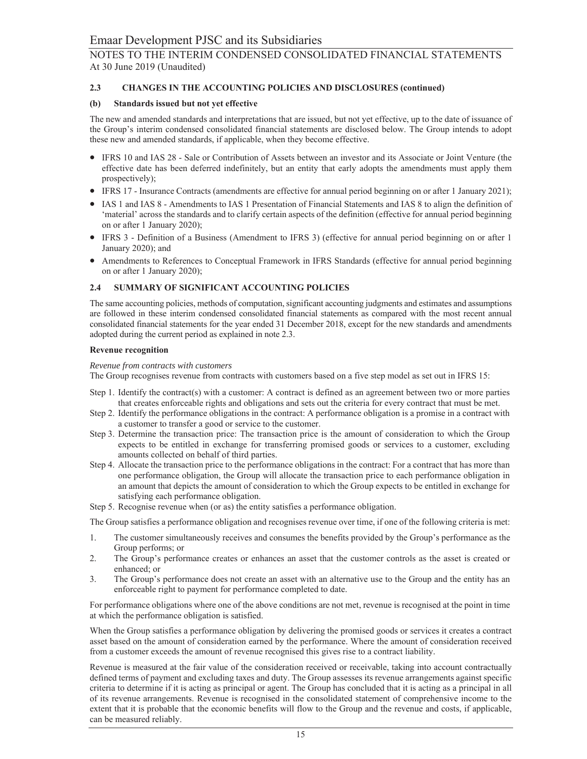#### $2.3$ CHANGES IN THE ACCOUNTING POLICIES AND DISCLOSURES (continued)

#### (b) Standards issued but not yet effective

The new and amended standards and interpretations that are issued, but not yet effective, up to the date of issuance of the Group's interim condensed consolidated financial statements are disclosed below. The Group intends to adopt these new and amended standards, if applicable, when they become effective.

- IFRS 10 and IAS 28 Sale or Contribution of Assets between an investor and its Associate or Joint Venture (the effective date has been deferred indefinitely, but an entity that early adopts the amendments must apply them prospectively);
- IFRS 17 Insurance Contracts (amendments are effective for annual period beginning on or after 1 January 2021);
- IAS 1 and IAS 8 Amendments to IAS 1 Presentation of Financial Statements and IAS 8 to align the definition of 'material' across the standards and to clarify certain aspects of the definition (effective for annual period beginning on or after 1 January 2020);
- IFRS 3 Definition of a Business (Amendment to IFRS 3) (effective for annual period beginning on or after 1 January 2020); and
- Amendments to References to Conceptual Framework in IFRS Standards (effective for annual period beginning on or after 1 January 2020);

#### $2.4$ SUMMARY OF SIGNIFICANT ACCOUNTING POLICIES

The same accounting policies, methods of computation, significant accounting judgments and estimates and assumptions are followed in these interim condensed consolidated financial statements as compared with the most recent annual consolidated financial statements for the year ended 31 December 2018, except for the new standards and amendments adopted during the current period as explained in note 2.3.

#### **Revenue recognition**

#### Revenue from contracts with customers

The Group recognises revenue from contracts with customers based on a five step model as set out in IFRS 15:

- Step 1. Identify the contract(s) with a customer: A contract is defined as an agreement between two or more parties that creates enforceable rights and obligations and sets out the criteria for every contract that must be met.
- Step 2. Identify the performance obligations in the contract: A performance obligation is a promise in a contract with a customer to transfer a good or service to the customer.
- Step 3. Determine the transaction price: The transaction price is the amount of consideration to which the Group expects to be entitled in exchange for transferring promised goods or services to a customer, excluding amounts collected on behalf of third parties.
- Step 4. Allocate the transaction price to the performance obligations in the contract: For a contract that has more than one performance obligation, the Group will allocate the transaction price to each performance obligation in an amount that depicts the amount of consideration to which the Group expects to be entitled in exchange for satisfying each performance obligation.
- Step 5. Recognise revenue when (or as) the entity satisfies a performance obligation.

The Group satisfies a performance obligation and recognises revenue over time, if one of the following criteria is met:

- 1. The customer simultaneously receives and consumes the benefits provided by the Group's performance as the Group performs; or
- 2. The Group's performance creates or enhances an asset that the customer controls as the asset is created or enhanced; or
- 3. The Group's performance does not create an asset with an alternative use to the Group and the entity has an enforceable right to payment for performance completed to date.

For performance obligations where one of the above conditions are not met, revenue is recognised at the point in time at which the performance obligation is satisfied.

When the Group satisfies a performance obligation by delivering the promised goods or services it creates a contract asset based on the amount of consideration earned by the performance. Where the amount of consideration received from a customer exceeds the amount of revenue recognised this gives rise to a contract liability.

Revenue is measured at the fair value of the consideration received or receivable, taking into account contractually defined terms of payment and excluding taxes and duty. The Group assesses its revenue arrangements against specific criteria to determine if it is acting as principal or agent. The Group has concluded that it is acting as a principal in all of its revenue arrangements. Revenue is recognised in the consolidated statement of comprehensive income to the extent that it is probable that the economic benefits will flow to the Group and the revenue and costs, if applicable, can be measured reliably.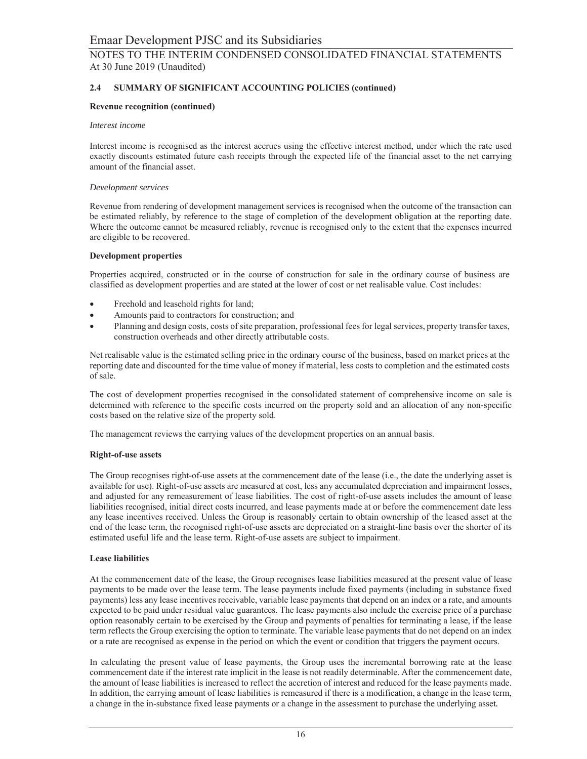#### $2.4$ SUMMARY OF SIGNIFICANT ACCOUNTING POLICIES (continued)

### **Revenue recognition (continued)**

### Interest income

Interest income is recognised as the interest accrues using the effective interest method, under which the rate used exactly discounts estimated future cash receipts through the expected life of the financial asset to the net carrying amount of the financial asset.

### Development services

Revenue from rendering of development management services is recognised when the outcome of the transaction can be estimated reliably, by reference to the stage of completion of the development obligation at the reporting date. Where the outcome cannot be measured reliably, revenue is recognised only to the extent that the expenses incurred are eligible to be recovered.

### **Development properties**

Properties acquired, constructed or in the course of construction for sale in the ordinary course of business are classified as development properties and are stated at the lower of cost or net realisable value. Cost includes:

- Freehold and leasehold rights for land;  $\bullet$
- $\bullet$ Amounts paid to contractors for construction; and
- Planning and design costs, costs of site preparation, professional fees for legal services, property transfer taxes, construction overheads and other directly attributable costs.

Net realisable value is the estimated selling price in the ordinary course of the business, based on market prices at the reporting date and discounted for the time value of money if material, less costs to completion and the estimated costs of sale.

The cost of development properties recognised in the consolidated statement of comprehensive income on sale is determined with reference to the specific costs incurred on the property sold and an allocation of any non-specific costs based on the relative size of the property sold.

The management reviews the carrying values of the development properties on an annual basis.

### **Right-of-use assets**

The Group recognises right-of-use assets at the commencement date of the lease (i.e., the date the underlying asset is available for use). Right-of-use assets are measured at cost, less any accumulated depreciation and impairment losses, and adjusted for any remeasurement of lease liabilities. The cost of right-of-use assets includes the amount of lease liabilities recognised, initial direct costs incurred, and lease payments made at or before the commencement date less any lease incentives received. Unless the Group is reasonably certain to obtain ownership of the leased asset at the end of the lease term, the recognised right-of-use assets are depreciated on a straight-line basis over the shorter of its estimated useful life and the lease term. Right-of-use assets are subject to impairment.

### **Lease liabilities**

At the commencement date of the lease, the Group recognises lease liabilities measured at the present value of lease payments to be made over the lease term. The lease payments include fixed payments (including in substance fixed payments) less any lease incentives receivable, variable lease payments that depend on an index or a rate, and amounts expected to be paid under residual value guarantees. The lease payments also include the exercise price of a purchase option reasonably certain to be exercised by the Group and payments of penalties for terminating a lease, if the lease term reflects the Group exercising the option to terminate. The variable lease payments that do not depend on an index or a rate are recognised as expense in the period on which the event or condition that triggers the payment occurs.

In calculating the present value of lease payments, the Group uses the incremental borrowing rate at the lease commencement date if the interest rate implicit in the lease is not readily determinable. After the commencement date, the amount of lease liabilities is increased to reflect the accretion of interest and reduced for the lease payments made. In addition, the carrying amount of lease liabilities is remeasured if there is a modification, a change in the lease term, a change in the in-substance fixed lease payments or a change in the assessment to purchase the underlying asset.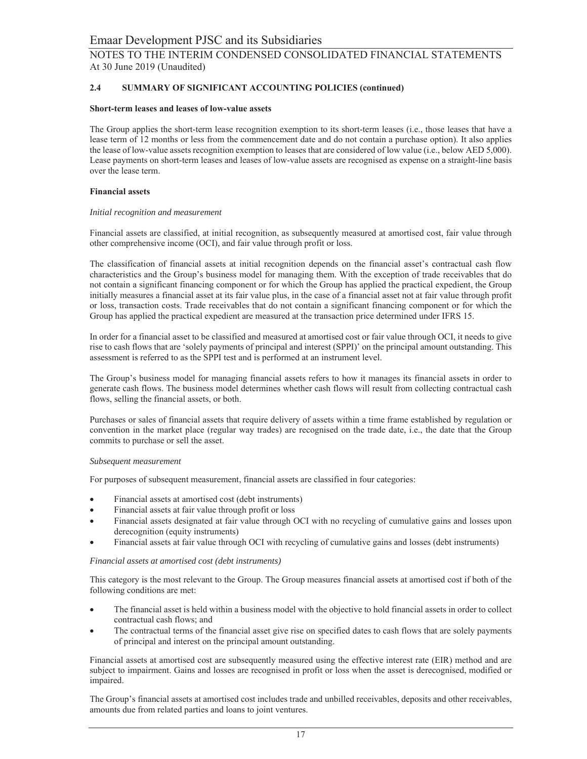#### $2.4$ SUMMARY OF SIGNIFICANT ACCOUNTING POLICIES (continued)

### Short-term leases and leases of low-value assets

The Group applies the short-term lease recognition exemption to its short-term leases (i.e., those leases that have a lease term of 12 months or less from the commencement date and do not contain a purchase option). It also applies the lease of low-value assets recognition exemption to leases that are considered of low value (i.e., below AED 5,000). Lease payments on short-term leases and leases of low-value assets are recognised as expense on a straight-line basis over the lease term.

#### **Financial assets**

#### Initial recognition and measurement

Financial assets are classified, at initial recognition, as subsequently measured at amortised cost, fair value through other comprehensive income (OCI), and fair value through profit or loss.

The classification of financial assets at initial recognition depends on the financial asset's contractual cash flow characteristics and the Group's business model for managing them. With the exception of trade receivables that do not contain a significant financing component or for which the Group has applied the practical expedient, the Group initially measures a financial asset at its fair value plus, in the case of a financial asset not at fair value through profit or loss, transaction costs. Trade receivables that do not contain a significant financing component or for which the Group has applied the practical expedient are measured at the transaction price determined under IFRS 15.

In order for a financial asset to be classified and measured at amortised cost or fair value through OCI, it needs to give rise to cash flows that are 'solely payments of principal and interest (SPPI)' on the principal amount outstanding. This assessment is referred to as the SPPI test and is performed at an instrument level.

The Group's business model for managing financial assets refers to how it manages its financial assets in order to generate cash flows. The business model determines whether cash flows will result from collecting contractual cash flows, selling the financial assets, or both.

Purchases or sales of financial assets that require delivery of assets within a time frame established by regulation or convention in the market place (regular way trades) are recognised on the trade date, i.e., the date that the Group commits to purchase or sell the asset.

#### Subsequent measurement

For purposes of subsequent measurement, financial assets are classified in four categories:

- Financial assets at amortised cost (debt instruments)
- Financial assets at fair value through profit or loss
- Financial assets designated at fair value through OCI with no recycling of cumulative gains and losses upon derecognition (equity instruments)
- Financial assets at fair value through OCI with recycling of cumulative gains and losses (debt instruments)

#### Financial assets at amortised cost (debt instruments)

This category is the most relevant to the Group. The Group measures financial assets at amortised cost if both of the following conditions are met:

- $\bullet$ The financial asset is held within a business model with the objective to hold financial assets in order to collect contractual cash flows; and
- The contractual terms of the financial asset give rise on specified dates to cash flows that are solely payments  $\bullet$ of principal and interest on the principal amount outstanding.

Financial assets at amortised cost are subsequently measured using the effective interest rate (EIR) method and are subject to impairment. Gains and losses are recognised in profit or loss when the asset is derecognised, modified or impaired.

The Group's financial assets at amortised cost includes trade and unbilled receivables, deposits and other receivables, amounts due from related parties and loans to joint ventures.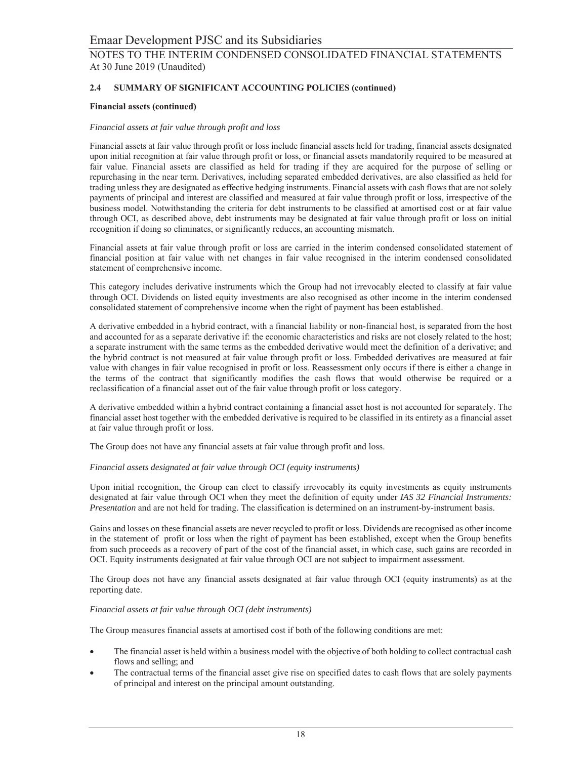#### $2.4$ SUMMARY OF SIGNIFICANT ACCOUNTING POLICIES (continued)

### **Financial assets (continued)**

#### Financial assets at fair value through profit and loss

Financial assets at fair value through profit or loss include financial assets held for trading, financial assets designated upon initial recognition at fair value through profit or loss, or financial assets mandatorily required to be measured at fair value. Financial assets are classified as held for trading if they are acquired for the purpose of selling or repurchasing in the near term. Derivatives, including separated embedded derivatives, are also classified as held for trading unless they are designated as effective hedging instruments. Financial assets with cash flows that are not solely payments of principal and interest are classified and measured at fair value through profit or loss, irrespective of the business model. Notwithstanding the criteria for debt instruments to be classified at amortised cost or at fair value through OCI, as described above, debt instruments may be designated at fair value through profit or loss on initial recognition if doing so eliminates, or significantly reduces, an accounting mismatch.

Financial assets at fair value through profit or loss are carried in the interim condensed consolidated statement of financial position at fair value with net changes in fair value recognised in the interim condensed consolidated statement of comprehensive income.

This category includes derivative instruments which the Group had not irrevocably elected to classify at fair value through OCI. Dividends on listed equity investments are also recognised as other income in the interim condensed consolidated statement of comprehensive income when the right of payment has been established.

A derivative embedded in a hybrid contract, with a financial liability or non-financial host, is separated from the host and accounted for as a separate derivative if: the economic characteristics and risks are not closely related to the host; a separate instrument with the same terms as the embedded derivative would meet the definition of a derivative; and the hybrid contract is not measured at fair value through profit or loss. Embedded derivatives are measured at fair value with changes in fair value recognised in profit or loss. Reassessment only occurs if there is either a change in the terms of the contract that significantly modifies the cash flows that would otherwise be required or a reclassification of a financial asset out of the fair value through profit or loss category.

A derivative embedded within a hybrid contract containing a financial asset host is not accounted for separately. The financial asset host together with the embedded derivative is required to be classified in its entirety as a financial asset at fair value through profit or loss.

The Group does not have any financial assets at fair value through profit and loss.

### Financial assets designated at fair value through OCI (equity instruments)

Upon initial recognition, the Group can elect to classify irrevocably its equity investments as equity instruments designated at fair value through OCI when they meet the definition of equity under IAS 32 Financial Instruments: Presentation and are not held for trading. The classification is determined on an instrument-by-instrument basis.

Gains and losses on these financial assets are never recycled to profit or loss. Dividends are recognised as other income in the statement of profit or loss when the right of payment has been established, except when the Group benefits from such proceeds as a recovery of part of the cost of the financial asset, in which case, such gains are recorded in OCI. Equity instruments designated at fair value through OCI are not subject to impairment assessment.

The Group does not have any financial assets designated at fair value through OCI (equity instruments) as at the reporting date.

#### Financial assets at fair value through OCI (debt instruments)

The Group measures financial assets at amortised cost if both of the following conditions are met:

- The financial asset is held within a business model with the objective of both holding to collect contractual cash flows and selling; and
- The contractual terms of the financial asset give rise on specified dates to cash flows that are solely payments of principal and interest on the principal amount outstanding.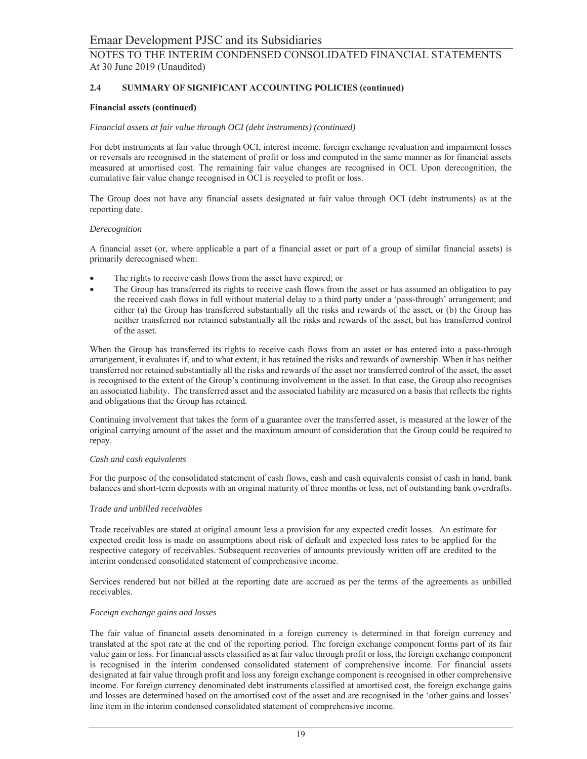#### $2.4$ SUMMARY OF SIGNIFICANT ACCOUNTING POLICIES (continued)

### **Financial assets (continued)**

#### Financial assets at fair value through OCI (debt instruments) (continued)

For debt instruments at fair value through OCI, interest income, foreign exchange revaluation and impairment losses or reversals are recognised in the statement of profit or loss and computed in the same manner as for financial assets measured at amortised cost. The remaining fair value changes are recognised in OCI. Upon derecognition, the cumulative fair value change recognised in OCI is recycled to profit or loss.

The Group does not have any financial assets designated at fair value through OCI (debt instruments) as at the reporting date.

#### Derecognition

A financial asset (or, where applicable a part of a financial asset or part of a group of similar financial assets) is primarily derecognised when:

- The rights to receive cash flows from the asset have expired; or
- The Group has transferred its rights to receive cash flows from the asset or has assumed an obligation to pay  $\bullet$ the received cash flows in full without material delay to a third party under a 'pass-through' arrangement; and either (a) the Group has transferred substantially all the risks and rewards of the asset, or (b) the Group has neither transferred nor retained substantially all the risks and rewards of the asset, but has transferred control of the asset.

When the Group has transferred its rights to receive cash flows from an asset or has entered into a pass-through arrangement, it evaluates if, and to what extent, it has retained the risks and rewards of ownership. When it has neither transferred nor retained substantially all the risks and rewards of the asset nor transferred control of the asset, the asset is recognised to the extent of the Group's continuing involvement in the asset. In that case, the Group also recognises an associated liability. The transferred asset and the associated liability are measured on a basis that reflects the rights and obligations that the Group has retained.

Continuing involvement that takes the form of a guarantee over the transferred asset, is measured at the lower of the original carrying amount of the asset and the maximum amount of consideration that the Group could be required to repay.

#### Cash and cash equivalents

For the purpose of the consolidated statement of cash flows, cash and cash equivalents consist of cash in hand, bank balances and short-term deposits with an original maturity of three months or less, net of outstanding bank overdrafts.

#### Trade and unbilled receivables

Trade receivables are stated at original amount less a provision for any expected credit losses. An estimate for expected credit loss is made on assumptions about risk of default and expected loss rates to be applied for the respective category of receivables. Subsequent recoveries of amounts previously written off are credited to the interim condensed consolidated statement of comprehensive income.

Services rendered but not billed at the reporting date are accrued as per the terms of the agreements as unbilled receivables.

#### Foreign exchange gains and losses

The fair value of financial assets denominated in a foreign currency is determined in that foreign currency and translated at the spot rate at the end of the reporting period. The foreign exchange component forms part of its fair value gain or loss. For financial assets classified as at fair value through profit or loss, the foreign exchange component is recognised in the interim condensed consolidated statement of comprehensive income. For financial assets designated at fair value through profit and loss any foreign exchange component is recognised in other comprehensive income. For foreign currency denominated debt instruments classified at amortised cost, the foreign exchange gains and losses are determined based on the amortised cost of the asset and are recognised in the 'other gains and losses' line item in the interim condensed consolidated statement of comprehensive income.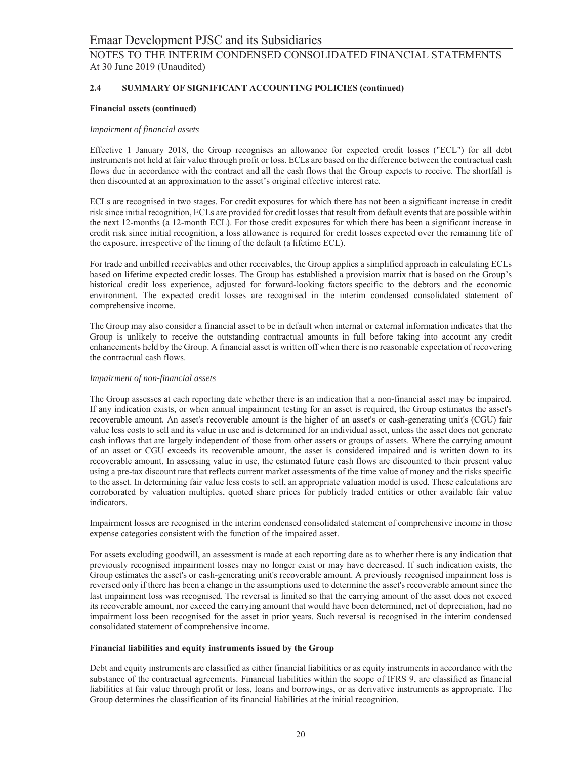#### $2.4$ SUMMARY OF SIGNIFICANT ACCOUNTING POLICIES (continued)

### **Financial assets (continued)**

### Impairment of financial assets

Effective 1 January 2018, the Group recognises an allowance for expected credit losses ("ECL") for all debt instruments not held at fair value through profit or loss. ECLs are based on the difference between the contractual cash flows due in accordance with the contract and all the cash flows that the Group expects to receive. The shortfall is then discounted at an approximation to the asset's original effective interest rate.

ECLs are recognised in two stages. For credit exposures for which there has not been a significant increase in credit risk since initial recognition, ECLs are provided for credit losses that result from default events that are possible within the next 12-months (a 12-month ECL). For those credit exposures for which there has been a significant increase in credit risk since initial recognition, a loss allowance is required for credit losses expected over the remaining life of the exposure, irrespective of the timing of the default (a lifetime ECL).

For trade and unbilled receivables and other receivables, the Group applies a simplified approach in calculating ECLs based on lifetime expected credit losses. The Group has established a provision matrix that is based on the Group's historical credit loss experience, adjusted for forward-looking factors specific to the debtors and the economic environment. The expected credit losses are recognised in the interim condensed consolidated statement of comprehensive income.

The Group may also consider a financial asset to be in default when internal or external information indicates that the Group is unlikely to receive the outstanding contractual amounts in full before taking into account any credit enhancements held by the Group. A financial asset is written off when there is no reasonable expectation of recovering the contractual cash flows.

### Impairment of non-financial assets

The Group assesses at each reporting date whether there is an indication that a non-financial asset may be impaired. If any indication exists, or when annual impairment testing for an asset is required, the Group estimates the asset's recoverable amount. An asset's recoverable amount is the higher of an asset's or cash-generating unit's (CGU) fair value less costs to sell and its value in use and is determined for an individual asset, unless the asset does not generate cash inflows that are largely independent of those from other assets or groups of assets. Where the carrying amount of an asset or CGU exceeds its recoverable amount, the asset is considered impaired and is written down to its recoverable amount. In assessing value in use, the estimated future cash flows are discounted to their present value using a pre-tax discount rate that reflects current market assessments of the time value of money and the risks specific to the asset. In determining fair value less costs to sell, an appropriate valuation model is used. These calculations are corroborated by valuation multiples, quoted share prices for publicly traded entities or other available fair value indicators.

Impairment losses are recognised in the interim condensed consolidated statement of comprehensive income in those expense categories consistent with the function of the impaired asset.

For assets excluding goodwill, an assessment is made at each reporting date as to whether there is any indication that previously recognised impairment losses may no longer exist or may have decreased. If such indication exists, the Group estimates the asset's or cash-generating unit's recoverable amount. A previously recognised impairment loss is reversed only if there has been a change in the assumptions used to determine the asset's recoverable amount since the last impairment loss was recognised. The reversal is limited so that the carrying amount of the asset does not exceed its recoverable amount, nor exceed the carrying amount that would have been determined, net of depreciation, had no impairment loss been recognised for the asset in prior years. Such reversal is recognised in the interim condensed consolidated statement of comprehensive income.

### Financial liabilities and equity instruments issued by the Group

Debt and equity instruments are classified as either financial liabilities or as equity instruments in accordance with the substance of the contractual agreements. Financial liabilities within the scope of IFRS 9, are classified as financial liabilities at fair value through profit or loss, loans and borrowings, or as derivative instruments as appropriate. The Group determines the classification of its financial liabilities at the initial recognition.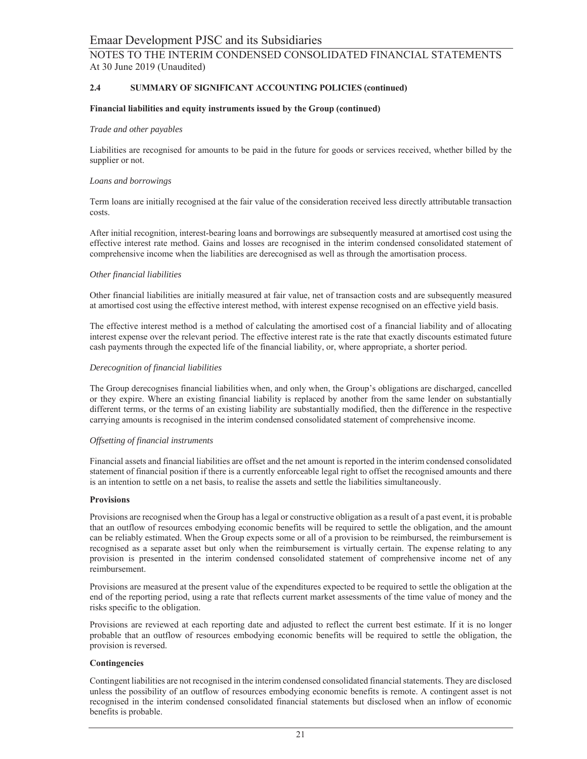#### $2.4$ SUMMARY OF SIGNIFICANT ACCOUNTING POLICIES (continued)

### Financial liabilities and equity instruments issued by the Group (continued)

#### Trade and other payables

Liabilities are recognised for amounts to be paid in the future for goods or services received, whether billed by the supplier or not.

#### Loans and borrowings

Term loans are initially recognised at the fair value of the consideration received less directly attributable transaction costs.

After initial recognition, interest-bearing loans and borrowings are subsequently measured at amortised cost using the effective interest rate method. Gains and losses are recognised in the interim condensed consolidated statement of comprehensive income when the liabilities are derecognised as well as through the amortisation process.

#### Other financial liabilities

Other financial liabilities are initially measured at fair value, net of transaction costs and are subsequently measured at amortised cost using the effective interest method, with interest expense recognised on an effective yield basis.

The effective interest method is a method of calculating the amortised cost of a financial liability and of allocating interest expense over the relevant period. The effective interest rate is the rate that exactly discounts estimated future cash payments through the expected life of the financial liability, or, where appropriate, a shorter period.

#### Derecognition of financial liabilities

The Group derecognises financial liabilities when, and only when, the Group's obligations are discharged, cancelled or they expire. Where an existing financial liability is replaced by another from the same lender on substantially different terms, or the terms of an existing liability are substantially modified, then the difference in the respective carrying amounts is recognised in the interim condensed consolidated statement of comprehensive income.

### Offsetting of financial instruments

Financial assets and financial liabilities are offset and the net amount is reported in the interim condensed consolidated statement of financial position if there is a currently enforceable legal right to offset the recognised amounts and there is an intention to settle on a net basis, to realise the assets and settle the liabilities simultaneously.

### **Provisions**

Provisions are recognised when the Group has a legal or constructive obligation as a result of a past event, it is probable that an outflow of resources embodying economic benefits will be required to settle the obligation, and the amount can be reliably estimated. When the Group expects some or all of a provision to be reimbursed, the reimbursement is recognised as a separate asset but only when the reimbursement is virtually certain. The expense relating to any provision is presented in the interim condensed consolidated statement of comprehensive income net of any reimbursement.

Provisions are measured at the present value of the expenditures expected to be required to settle the obligation at the end of the reporting period, using a rate that reflects current market assessments of the time value of money and the risks specific to the obligation.

Provisions are reviewed at each reporting date and adjusted to reflect the current best estimate. If it is no longer probable that an outflow of resources embodying economic benefits will be required to settle the obligation, the provision is reversed.

### Contingencies

Contingent liabilities are not recognised in the interim condensed consolidated financial statements. They are disclosed unless the possibility of an outflow of resources embodying economic benefits is remote. A contingent asset is not recognised in the interim condensed consolidated financial statements but disclosed when an inflow of economic benefits is probable.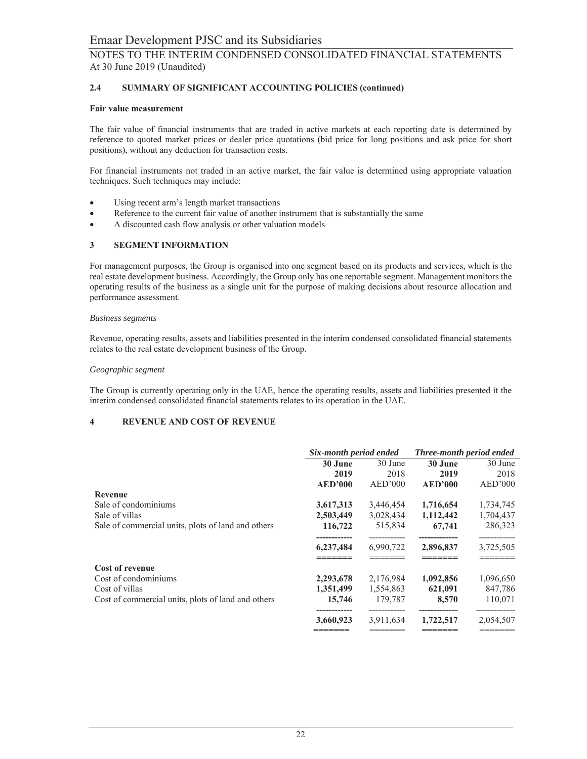#### $2.4$ SUMMARY OF SIGNIFICANT ACCOUNTING POLICIES (continued)

#### **Fair value measurement**

The fair value of financial instruments that are traded in active markets at each reporting date is determined by reference to quoted market prices or dealer price quotations (bid price for long positions and ask price for short positions), without any deduction for transaction costs.

For financial instruments not traded in an active market, the fair value is determined using appropriate valuation techniques. Such techniques may include:

- Using recent arm's length market transactions  $\bullet$
- Reference to the current fair value of another instrument that is substantially the same  $\bullet$
- A discounted cash flow analysis or other valuation models  $\bullet$

#### 3 **SEGMENT INFORMATION**

For management purposes, the Group is organised into one segment based on its products and services, which is the real estate development business. Accordingly, the Group only has one reportable segment. Management monitors the operating results of the business as a single unit for the purpose of making decisions about resource allocation and performance assessment.

#### **Business segments**

Revenue, operating results, assets and liabilities presented in the interim condensed consolidated financial statements relates to the real estate development business of the Group.

#### Geographic segment

The Group is currently operating only in the UAE, hence the operating results, assets and liabilities presented it the interim condensed consolidated financial statements relates to its operation in the UAE.

#### $\overline{\mathbf{4}}$ **REVENUE AND COST OF REVENUE**

|                                                    | Six-month period ended |           | Three-month period ended |           |
|----------------------------------------------------|------------------------|-----------|--------------------------|-----------|
|                                                    | 30 June                | 30 June   | 30 June                  | 30 June   |
|                                                    | 2019                   | 2018      | 2019                     | 2018      |
|                                                    | <b>AED'000</b>         | AED'000   | <b>AED'000</b>           | AED'000   |
| Revenue                                            |                        |           |                          |           |
| Sale of condominiums                               | 3,617,313              | 3,446,454 | 1,716,654                | 1,734,745 |
| Sale of villas                                     | 2,503,449              | 3,028,434 | 1,112,442                | 1,704,437 |
| Sale of commercial units, plots of land and others | 116,722                | 515,834   | 67,741                   | 286,323   |
|                                                    |                        |           |                          |           |
|                                                    | 6,237,484              | 6.990.722 | 2,896,837                | 3,725,505 |
|                                                    |                        |           |                          |           |
| <b>Cost of revenue</b>                             |                        |           |                          |           |
| Cost of condominiums                               | 2,293,678              | 2,176,984 | 1,092,856                | 1,096,650 |
| Cost of villas                                     | 1,351,499              | 1,554,863 | 621,091                  | 847,786   |
| Cost of commercial units, plots of land and others | 15,746                 | 179,787   | 8,570                    | 110,071   |
|                                                    | 3,660,923              | 3,911,634 | 1,722,517                | 2,054,507 |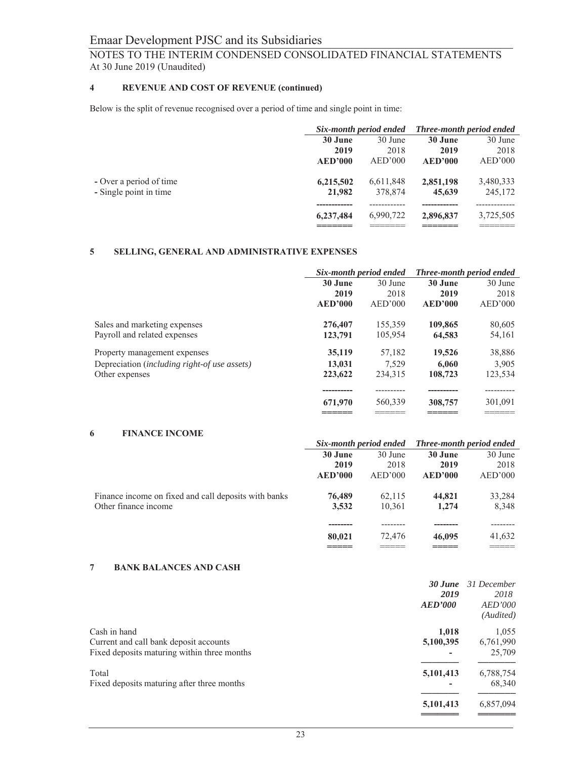# NOTES TO THE INTERIM CONDENSED CONSOLIDATED FINANCIAL STATEMENTS At 30 June 2019 (Unaudited)

#### $\overline{\mathbf{4}}$ REVENUE AND COST OF REVENUE (continued)

Below is the split of revenue recognised over a period of time and single point in time:

|                         |           | Six-month period ended |                | <b>Three-month period ended</b> |
|-------------------------|-----------|------------------------|----------------|---------------------------------|
|                         | 30 June   | 30 June                | 30 June        | 30 June                         |
|                         | 2019      | 2018                   | 2019           | 2018                            |
|                         | AED'000   | AED'000                | <b>AED'000</b> | AED'000                         |
| - Over a period of time | 6,215,502 | 6,611,848              | 2,851,198      | 3,480,333                       |
| - Single point in time  | 21,982    | 378,874                | 45,639         | 245,172                         |
|                         |           |                        |                |                                 |
|                         | 6,237,484 | 6.990.722              | 2,896,837      | 3,725,505                       |
|                         |           |                        |                |                                 |

#### SELLING, GENERAL AND ADMINISTRATIVE EXPENSES  $5<sup>5</sup>$

|                                              | Six-month period ended |         | <b>Three-month period ended</b> |         |
|----------------------------------------------|------------------------|---------|---------------------------------|---------|
|                                              | 30 June                | 30 June | 30 June                         | 30 June |
|                                              | 2019                   | 2018    | 2019                            | 2018    |
|                                              | AED'000                | AED'000 | AED'000                         | AED'000 |
| Sales and marketing expenses                 | 276,407                | 155,359 | 109,865                         | 80,605  |
| Payroll and related expenses                 | 123,791                | 105,954 | 64,583                          | 54,161  |
| Property management expenses                 | 35,119                 | 57.182  | 19,526                          | 38,886  |
| Depreciation (including right-of use assets) | 13,031                 | 7.529   | 6,060                           | 3.905   |
| Other expenses                               | 223,622                | 234,315 | 108,723                         | 123,534 |
|                                              |                        |         |                                 |         |
|                                              | 671,970                | 560,339 | 308,757                         | 301,091 |
|                                              |                        |         |                                 |         |

#### $\overline{6}$ **FINANCE INCOME**

|                                                      | Six-month period ended |         | <b>Three-month period ended</b> |         |
|------------------------------------------------------|------------------------|---------|---------------------------------|---------|
|                                                      | 30 June                | 30 June | 30 June                         | 30 June |
|                                                      | 2019                   | 2018    | 2019                            | 2018    |
|                                                      | AED'000                | AED'000 | <b>AED'000</b>                  | AED'000 |
| Finance income on fixed and call deposits with banks | 76,489                 | 62.115  | 44,821                          | 33,284  |
| Other finance income                                 | 3,532                  | 10.361  | 1,274                           | 8,348   |
|                                                      |                        |         |                                 |         |
|                                                      | 80,021                 | 72,476  | 46,095                          | 41,632  |
|                                                      |                        | ______  |                                 | _____   |

#### **BANK BALANCES AND CASH**  $\overline{7}$

| 30 June   | 31 December    |
|-----------|----------------|
| 2019      | 2018           |
| AED'000   | <b>AED'000</b> |
|           | (Audited)      |
| 1.018     | 1,055          |
| 5,100,395 | 6,761,990      |
|           | 25,709         |
| 5,101,413 | 6,788,754      |
|           | 68,340         |
| 5,101,413 | 6,857,094      |
|           |                |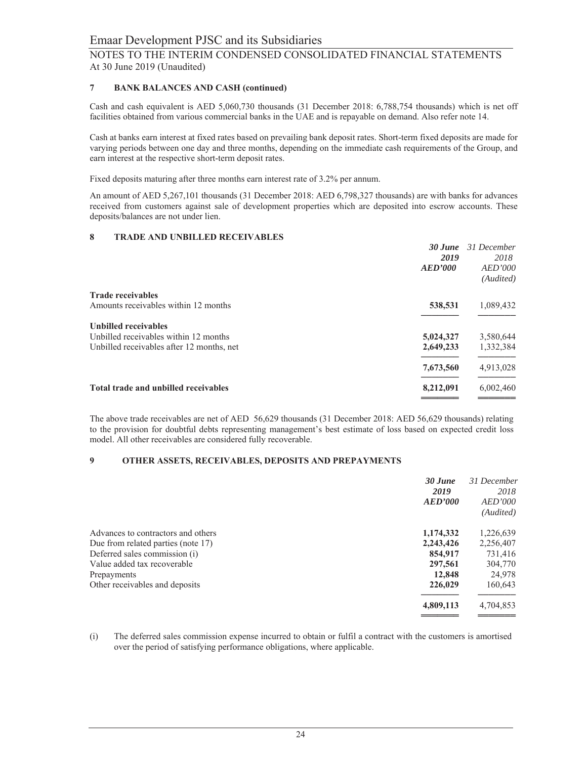#### $\overline{7}$ **BANK BALANCES AND CASH (continued)**

Cash and cash equivalent is AED 5,060,730 thousands (31 December 2018: 6,788,754 thousands) which is net off facilities obtained from various commercial banks in the UAE and is repayable on demand. Also refer note 14.

Cash at banks earn interest at fixed rates based on prevailing bank deposit rates. Short-term fixed deposits are made for varying periods between one day and three months, depending on the immediate cash requirements of the Group, and earn interest at the respective short-term deposit rates.

Fixed deposits maturing after three months earn interest rate of 3.2% per annum.

An amount of AED 5,267,101 thousands (31 December 2018: AED 6,798,327 thousands) are with banks for advances received from customers against sale of development properties which are deposited into escrow accounts. These deposits/balances are not under lien.

#### 8 **TRADE AND UNBILLED RECEIVABLES**

|                                           | $30$ June | 31 December    |
|-------------------------------------------|-----------|----------------|
|                                           | 2019      | 2018           |
|                                           | AED'000   | <b>AED'000</b> |
|                                           |           | (Audited)      |
| <b>Trade receivables</b>                  |           |                |
| Amounts receivables within 12 months      | 538,531   | 1,089,432      |
| <b>Unbilled receivables</b>               |           |                |
| Unbilled receivables within 12 months     | 5,024,327 | 3,580,644      |
| Unbilled receivables after 12 months, net | 2,649,233 | 1,332,384      |
|                                           | 7,673,560 | 4,913,028      |
| Total trade and unbilled receivables      | 8,212,091 | 6,002,460      |
|                                           |           |                |

The above trade receivables are net of AED 56,629 thousands (31 December 2018: AED 56,629 thousands) relating to the provision for doubtful debts representing management's best estimate of loss based on expected credit loss model. All other receivables are considered fully recoverable.

#### 9 **OTHER ASSETS, RECEIVABLES, DEPOSITS AND PREPAYMENTS**

| 30 June<br>2019                                 | 31 December<br>2018 |
|-------------------------------------------------|---------------------|
| <b>AED'000</b>                                  | <i>AED'000</i>      |
|                                                 | (Audited)           |
| 1,174,332<br>Advances to contractors and others | 1,226,639           |
| 2,243,426<br>Due from related parties (note 17) | 2,256,407           |
| Deferred sales commission (i)<br>854,917        | 731,416             |
| Value added tax recoverable<br>297,561          | 304,770             |
| 12,848<br>Prepayments                           | 24,978              |
| Other receivables and deposits<br>226,029       | 160,643             |
| 4,809,113                                       | 4,704,853           |

The deferred sales commission expense incurred to obtain or fulfil a contract with the customers is amortised  $(i)$ over the period of satisfying performance obligations, where applicable.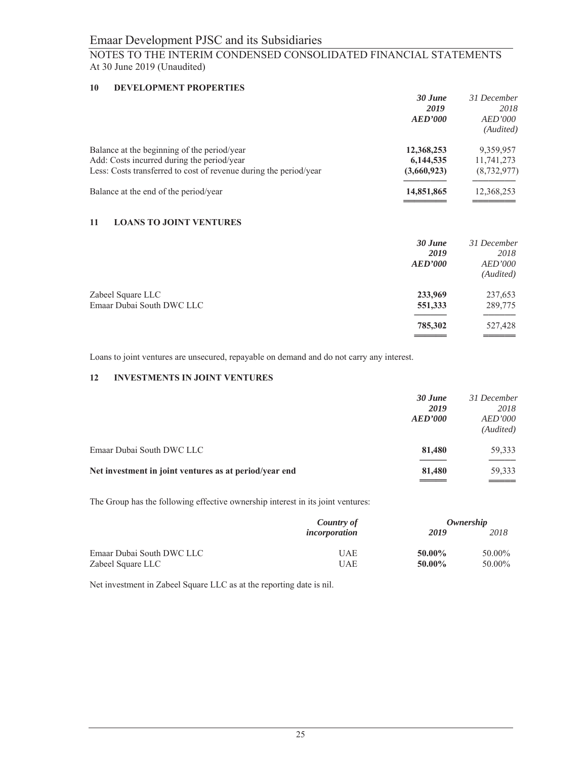## **10 DEVELOPMENT PROPERTIES**

|                                                                   | 30 June        | 31 December    |
|-------------------------------------------------------------------|----------------|----------------|
|                                                                   | 2019           | 2018           |
|                                                                   | <b>AED'000</b> | <i>AED'000</i> |
|                                                                   |                | (Audited)      |
| Balance at the beginning of the period/year                       | 12,368,253     | 9,359,957      |
| Add: Costs incurred during the period/year                        | 6,144,535      | 11,741,273     |
| Less: Costs transferred to cost of revenue during the period/year | (3,660,923)    | (8, 732, 977)  |
| Balance at the end of the period/year                             | 14,851,865     | 12,368,253     |
|                                                                   |                |                |

# **11 LOANS TO JOINT VENTURES**

|                                                | 30 June<br>2019<br><b>AED'000</b> | 31 December<br>2018<br><b>AED'000</b><br>(Audited) |
|------------------------------------------------|-----------------------------------|----------------------------------------------------|
| Zabeel Square LLC<br>Emaar Dubai South DWC LLC | 233,969<br>551,333                | 237,653<br>289,775                                 |
|                                                | 785,302                           | 527,428                                            |

Loans to joint ventures are unsecured, repayable on demand and do not carry any interest.

# **12 INVESTMENTS IN JOINT VENTURES**

|                                                        | 30 June<br>2019<br><b>AED'000</b> | 31 December<br>2018<br><b>AED'000</b><br>(Audited) |
|--------------------------------------------------------|-----------------------------------|----------------------------------------------------|
| Emaar Dubai South DWC LLC                              | 81,480                            | 59,333                                             |
| Net investment in joint ventures as at period/year end | 81,480                            | 59,333<br>____                                     |

The Group has the following effective ownership interest in its joint ventures:

|                           | Country of    | Ownership |        |  |
|---------------------------|---------------|-----------|--------|--|
|                           | incorporation | 2019      | 2018   |  |
| Emaar Dubai South DWC LLC | UAE           | 50.00%    | 50.00% |  |
| Zabeel Square LLC         | UAE           | 50.00%    | 50.00% |  |

Net investment in Zabeel Square LLC as at the reporting date is nil.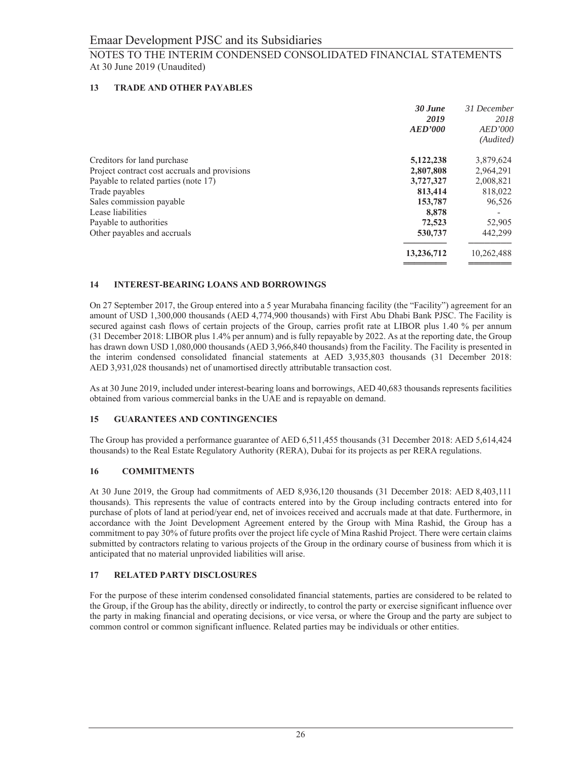#### 13 **TRADE AND OTHER PAYABLES**

|                                               | $30$ June      | 31 December    |
|-----------------------------------------------|----------------|----------------|
|                                               | 2019           | 2018           |
|                                               | <b>AED'000</b> | <b>AED'000</b> |
|                                               |                | (Audited)      |
| Creditors for land purchase                   | 5,122,238      | 3,879,624      |
| Project contract cost accruals and provisions | 2,807,808      | 2,964,291      |
| Payable to related parties (note 17)          | 3,727,327      | 2,008,821      |
| Trade payables                                | 813,414        | 818,022        |
| Sales commission payable                      | 153,787        | 96,526         |
| Lease liabilities                             | 8.878          |                |
| Payable to authorities                        | 72,523         | 52,905         |
| Other payables and accruals                   | 530,737        | 442,299        |
|                                               | 13,236,712     | 10,262,488     |

#### 14 **INTEREST-BEARING LOANS AND BORROWINGS**

On 27 September 2017, the Group entered into a 5 year Murabaha financing facility (the "Facility") agreement for an amount of USD 1,300,000 thousands (AED 4,774,900 thousands) with First Abu Dhabi Bank PJSC. The Facility is secured against cash flows of certain projects of the Group, carries profit rate at LIBOR plus 1.40 % per annum (31 December 2018: LIBOR plus 1.4% per annum) and is fully repayable by 2022. As at the reporting date, the Group has drawn down USD 1,080,000 thousands (AED 3,966,840 thousands) from the Facility. The Facility is presented in the interim condensed consolidated financial statements at AED 3,935,803 thousands (31 December 2018: AED 3,931,028 thousands) net of unamortised directly attributable transaction cost.

As at 30 June 2019, included under interest-bearing loans and borrowings, AED 40,683 thousands represents facilities obtained from various commercial banks in the UAE and is repayable on demand.

#### 15 **GUARANTEES AND CONTINGENCIES**

The Group has provided a performance guarantee of AED 6,511,455 thousands (31 December 2018: AED 5,614,424 thousands) to the Real Estate Regulatory Authority (RERA), Dubai for its projects as per RERA regulations.

#### **COMMITMENTS** 16

At 30 June 2019, the Group had commitments of AED 8,936,120 thousands (31 December 2018: AED 8,403,111 thousands). This represents the value of contracts entered into by the Group including contracts entered into for purchase of plots of land at period/year end, net of invoices received and accruals made at that date. Furthermore, in accordance with the Joint Development Agreement entered by the Group with Mina Rashid, the Group has a commitment to pay 30% of future profits over the project life cycle of Mina Rashid Project. There were certain claims submitted by contractors relating to various projects of the Group in the ordinary course of business from which it is anticipated that no material unprovided liabilities will arise.

#### 17 **RELATED PARTY DISCLOSURES**

For the purpose of these interim condensed consolidated financial statements, parties are considered to be related to the Group, if the Group has the ability, directly or indirectly, to control the party or exercise significant influence over the party in making financial and operating decisions, or vice versa, or where the Group and the party are subject to common control or common significant influence. Related parties may be individuals or other entities.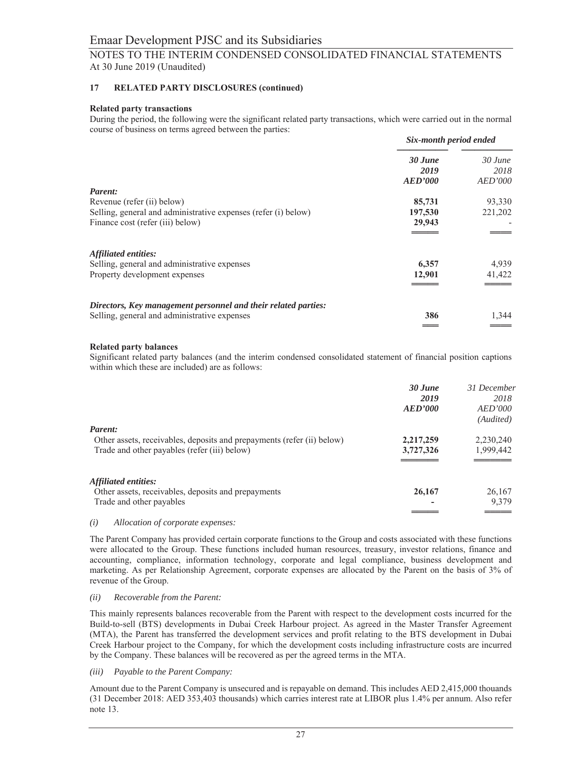#### 17 **RELATED PARTY DISCLOSURES (continued)**

### **Related party transactions**

During the period, the following were the significant related party transactions, which were carried out in the normal course of business on terms agreed between the parties:

|                                                                | Six-month period ended            |                              |
|----------------------------------------------------------------|-----------------------------------|------------------------------|
|                                                                | 30 June<br>2019<br><b>AED'000</b> | $30$ June<br>2018<br>AED'000 |
| Parent:                                                        |                                   |                              |
| Revenue (refer (ii) below)                                     | 85,731                            | 93,330                       |
| Selling, general and administrative expenses (refer (i) below) | 197,530                           | 221,202                      |
| Finance cost (refer (iii) below)                               | 29,943                            |                              |
|                                                                |                                   |                              |
| Affiliated entities:                                           |                                   |                              |
| Selling, general and administrative expenses                   | 6,357                             | 4,939                        |
| Property development expenses                                  | 12,901                            | 41,422                       |
|                                                                |                                   |                              |
| Directors, Key management personnel and their related parties: |                                   |                              |
| Selling, general and administrative expenses                   | 386                               | 1,344                        |
|                                                                |                                   |                              |

### **Related party balances**

Significant related party balances (and the interim condensed consolidated statement of financial position captions within which these are included) are as follows:

|                                                                                                                                   | 30 June<br>2019<br>AED'000 | 31 December<br>2018<br>AED'000<br>(Audited) |
|-----------------------------------------------------------------------------------------------------------------------------------|----------------------------|---------------------------------------------|
| Parent:<br>Other assets, receivables, deposits and prepayments (refer (ii) below)<br>Trade and other payables (refer (iii) below) | 2,217,259<br>3,727,326     | 2,230,240<br>1,999,442                      |
| Affiliated entities:<br>Other assets, receivables, deposits and prepayments<br>Trade and other payables                           | 26,167                     | 26,167<br>9,379                             |
|                                                                                                                                   |                            |                                             |

#### $(i)$ Allocation of corporate expenses:

The Parent Company has provided certain corporate functions to the Group and costs associated with these functions were allocated to the Group. These functions included human resources, treasury, investor relations, finance and accounting, compliance, information technology, corporate and legal compliance, business development and marketing. As per Relationship Agreement, corporate expenses are allocated by the Parent on the basis of 3% of revenue of the Group.

#### Recoverable from the Parent:  $(ii)$

This mainly represents balances recoverable from the Parent with respect to the development costs incurred for the Build-to-sell (BTS) developments in Dubai Creek Harbour project. As agreed in the Master Transfer Agreement (MTA), the Parent has transferred the development services and profit relating to the BTS development in Dubai Creek Harbour project to the Company, for which the development costs including infrastructure costs are incurred by the Company. These balances will be recovered as per the agreed terms in the MTA.

### (iii) Payable to the Parent Company:

Amount due to the Parent Company is unsecured and is repayable on demand. This includes AED 2,415,000 thouands (31 December 2018: AED 353,403 thousands) which carries interest rate at LIBOR plus 1.4% per annum. Also refer note  $13$ .